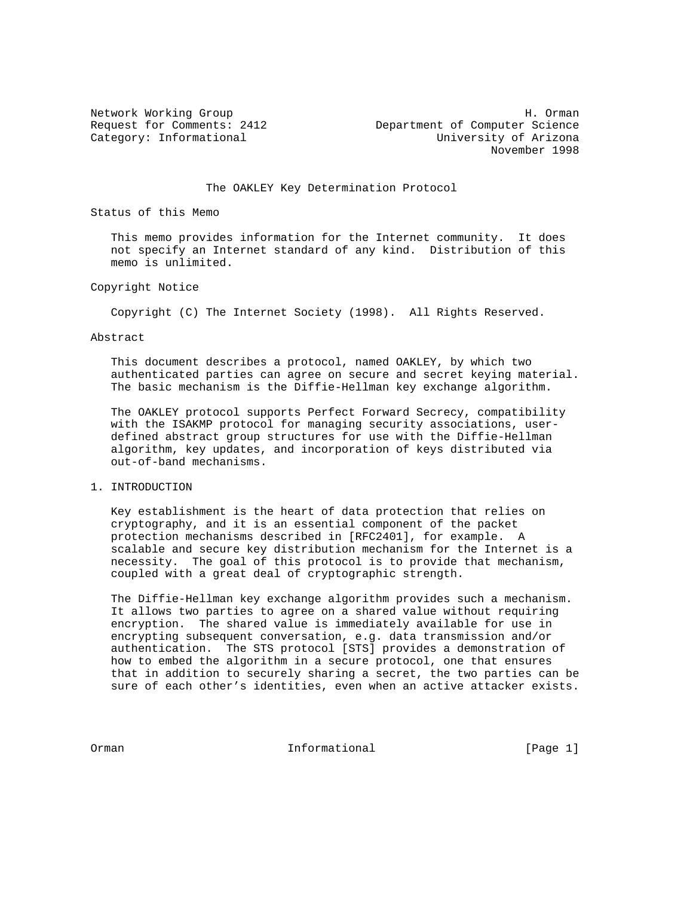The OAKLEY Key Determination Protocol

Status of this Memo

 This memo provides information for the Internet community. It does not specify an Internet standard of any kind. Distribution of this memo is unlimited.

Copyright Notice

Copyright (C) The Internet Society (1998). All Rights Reserved.

Abstract

 This document describes a protocol, named OAKLEY, by which two authenticated parties can agree on secure and secret keying material. The basic mechanism is the Diffie-Hellman key exchange algorithm.

 The OAKLEY protocol supports Perfect Forward Secrecy, compatibility with the ISAKMP protocol for managing security associations, user defined abstract group structures for use with the Diffie-Hellman algorithm, key updates, and incorporation of keys distributed via out-of-band mechanisms.

1. INTRODUCTION

 Key establishment is the heart of data protection that relies on cryptography, and it is an essential component of the packet protection mechanisms described in [RFC2401], for example. A scalable and secure key distribution mechanism for the Internet is a necessity. The goal of this protocol is to provide that mechanism, coupled with a great deal of cryptographic strength.

 The Diffie-Hellman key exchange algorithm provides such a mechanism. It allows two parties to agree on a shared value without requiring encryption. The shared value is immediately available for use in encrypting subsequent conversation, e.g. data transmission and/or authentication. The STS protocol [STS] provides a demonstration of how to embed the algorithm in a secure protocol, one that ensures that in addition to securely sharing a secret, the two parties can be sure of each other's identities, even when an active attacker exists.

Orman **Informational Informational Informational I**Page 1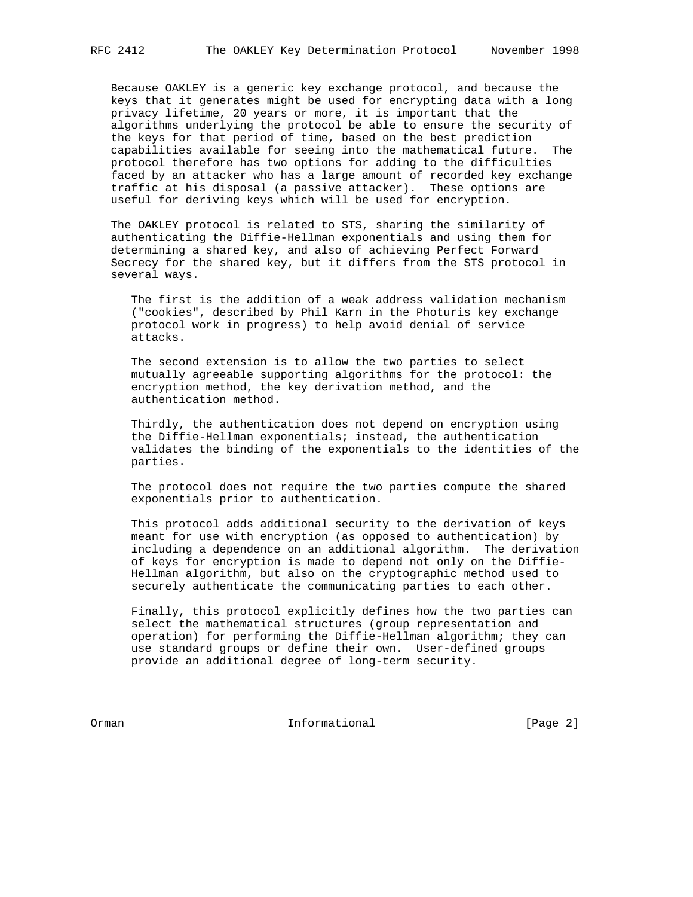Because OAKLEY is a generic key exchange protocol, and because the keys that it generates might be used for encrypting data with a long privacy lifetime, 20 years or more, it is important that the algorithms underlying the protocol be able to ensure the security of the keys for that period of time, based on the best prediction capabilities available for seeing into the mathematical future. The protocol therefore has two options for adding to the difficulties faced by an attacker who has a large amount of recorded key exchange traffic at his disposal (a passive attacker). These options are useful for deriving keys which will be used for encryption.

 The OAKLEY protocol is related to STS, sharing the similarity of authenticating the Diffie-Hellman exponentials and using them for determining a shared key, and also of achieving Perfect Forward Secrecy for the shared key, but it differs from the STS protocol in several ways.

 The first is the addition of a weak address validation mechanism ("cookies", described by Phil Karn in the Photuris key exchange protocol work in progress) to help avoid denial of service attacks.

 The second extension is to allow the two parties to select mutually agreeable supporting algorithms for the protocol: the encryption method, the key derivation method, and the authentication method.

 Thirdly, the authentication does not depend on encryption using the Diffie-Hellman exponentials; instead, the authentication validates the binding of the exponentials to the identities of the parties.

 The protocol does not require the two parties compute the shared exponentials prior to authentication.

 This protocol adds additional security to the derivation of keys meant for use with encryption (as opposed to authentication) by including a dependence on an additional algorithm. The derivation of keys for encryption is made to depend not only on the Diffie- Hellman algorithm, but also on the cryptographic method used to securely authenticate the communicating parties to each other.

 Finally, this protocol explicitly defines how the two parties can select the mathematical structures (group representation and operation) for performing the Diffie-Hellman algorithm; they can use standard groups or define their own. User-defined groups provide an additional degree of long-term security.

Orman **Informational Informational Informational I**Page 21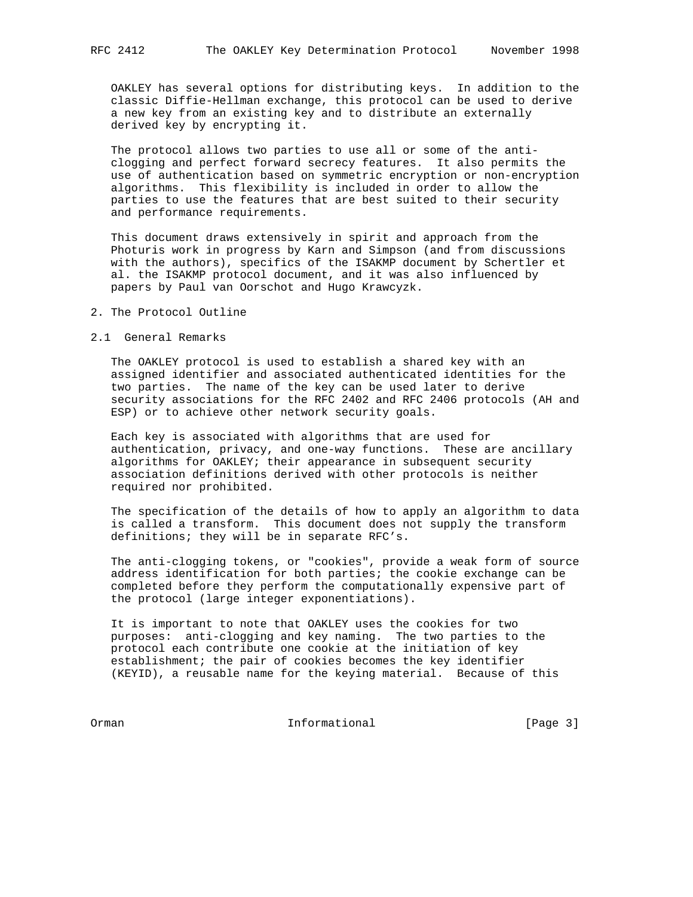OAKLEY has several options for distributing keys. In addition to the classic Diffie-Hellman exchange, this protocol can be used to derive a new key from an existing key and to distribute an externally derived key by encrypting it.

 The protocol allows two parties to use all or some of the anti clogging and perfect forward secrecy features. It also permits the use of authentication based on symmetric encryption or non-encryption algorithms. This flexibility is included in order to allow the parties to use the features that are best suited to their security and performance requirements.

 This document draws extensively in spirit and approach from the Photuris work in progress by Karn and Simpson (and from discussions with the authors), specifics of the ISAKMP document by Schertler et al. the ISAKMP protocol document, and it was also influenced by papers by Paul van Oorschot and Hugo Krawcyzk.

# 2. The Protocol Outline

### 2.1 General Remarks

 The OAKLEY protocol is used to establish a shared key with an assigned identifier and associated authenticated identities for the two parties. The name of the key can be used later to derive security associations for the RFC 2402 and RFC 2406 protocols (AH and ESP) or to achieve other network security goals.

 Each key is associated with algorithms that are used for authentication, privacy, and one-way functions. These are ancillary algorithms for OAKLEY; their appearance in subsequent security association definitions derived with other protocols is neither required nor prohibited.

 The specification of the details of how to apply an algorithm to data is called a transform. This document does not supply the transform definitions; they will be in separate RFC's.

 The anti-clogging tokens, or "cookies", provide a weak form of source address identification for both parties; the cookie exchange can be completed before they perform the computationally expensive part of the protocol (large integer exponentiations).

 It is important to note that OAKLEY uses the cookies for two purposes: anti-clogging and key naming. The two parties to the protocol each contribute one cookie at the initiation of key establishment; the pair of cookies becomes the key identifier (KEYID), a reusable name for the keying material. Because of this

Orman Informational [Page 3]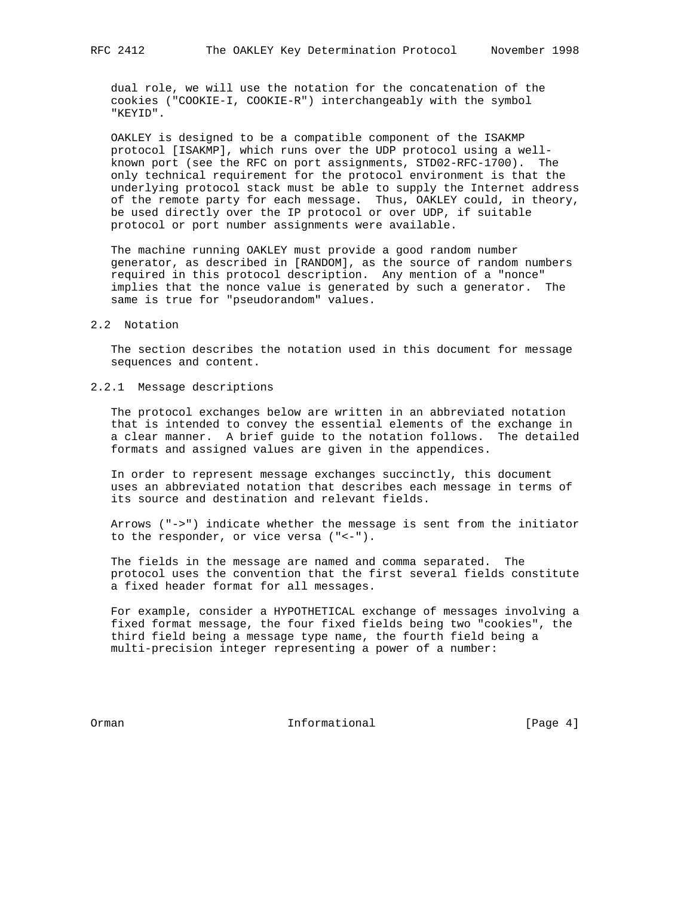dual role, we will use the notation for the concatenation of the cookies ("COOKIE-I, COOKIE-R") interchangeably with the symbol "KEYID".

 OAKLEY is designed to be a compatible component of the ISAKMP protocol [ISAKMP], which runs over the UDP protocol using a well known port (see the RFC on port assignments, STD02-RFC-1700). The only technical requirement for the protocol environment is that the underlying protocol stack must be able to supply the Internet address of the remote party for each message. Thus, OAKLEY could, in theory, be used directly over the IP protocol or over UDP, if suitable protocol or port number assignments were available.

 The machine running OAKLEY must provide a good random number generator, as described in [RANDOM], as the source of random numbers required in this protocol description. Any mention of a "nonce" implies that the nonce value is generated by such a generator. The same is true for "pseudorandom" values.

### 2.2 Notation

 The section describes the notation used in this document for message sequences and content.

2.2.1 Message descriptions

 The protocol exchanges below are written in an abbreviated notation that is intended to convey the essential elements of the exchange in a clear manner. A brief guide to the notation follows. The detailed formats and assigned values are given in the appendices.

 In order to represent message exchanges succinctly, this document uses an abbreviated notation that describes each message in terms of its source and destination and relevant fields.

 Arrows ("->") indicate whether the message is sent from the initiator to the responder, or vice versa ("<-").

 The fields in the message are named and comma separated. The protocol uses the convention that the first several fields constitute a fixed header format for all messages.

 For example, consider a HYPOTHETICAL exchange of messages involving a fixed format message, the four fixed fields being two "cookies", the third field being a message type name, the fourth field being a multi-precision integer representing a power of a number:

Orman **Informational Informational** [Page 4]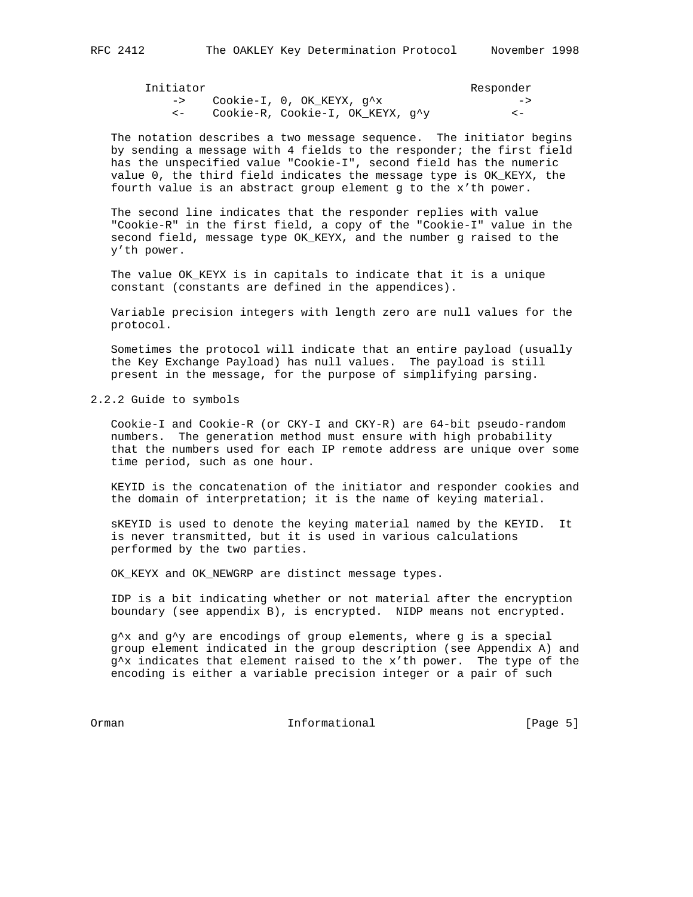| Initiator      |                                         | Responder    |
|----------------|-----------------------------------------|--------------|
|                | $\rightarrow$ Cookie-I, 0, OK KEYX, q^x | $\mathbf{-}$ |
| $\epsilon$ $-$ | Cookie-R, Cookie-I, OK_KEYX, g^y        | <u> - </u>   |

 The notation describes a two message sequence. The initiator begins by sending a message with 4 fields to the responder; the first field has the unspecified value "Cookie-I", second field has the numeric value 0, the third field indicates the message type is OK\_KEYX, the fourth value is an abstract group element g to the x'th power.

 The second line indicates that the responder replies with value "Cookie-R" in the first field, a copy of the "Cookie-I" value in the second field, message type OK\_KEYX, and the number g raised to the y'th power.

 The value OK\_KEYX is in capitals to indicate that it is a unique constant (constants are defined in the appendices).

 Variable precision integers with length zero are null values for the protocol.

 Sometimes the protocol will indicate that an entire payload (usually the Key Exchange Payload) has null values. The payload is still present in the message, for the purpose of simplifying parsing.

2.2.2 Guide to symbols

 Cookie-I and Cookie-R (or CKY-I and CKY-R) are 64-bit pseudo-random numbers. The generation method must ensure with high probability that the numbers used for each IP remote address are unique over some time period, such as one hour.

 KEYID is the concatenation of the initiator and responder cookies and the domain of interpretation; it is the name of keying material.

 sKEYID is used to denote the keying material named by the KEYID. It is never transmitted, but it is used in various calculations performed by the two parties.

OK\_KEYX and OK\_NEWGRP are distinct message types.

 IDP is a bit indicating whether or not material after the encryption boundary (see appendix B), is encrypted. NIDP means not encrypted.

 $g^{\star}x$  and  $g^{\star}y$  are encodings of group elements, where g is a special group element indicated in the group description (see Appendix A) and g^x indicates that element raised to the x'th power. The type of the encoding is either a variable precision integer or a pair of such

Orman **Informational** Informational [Page 5]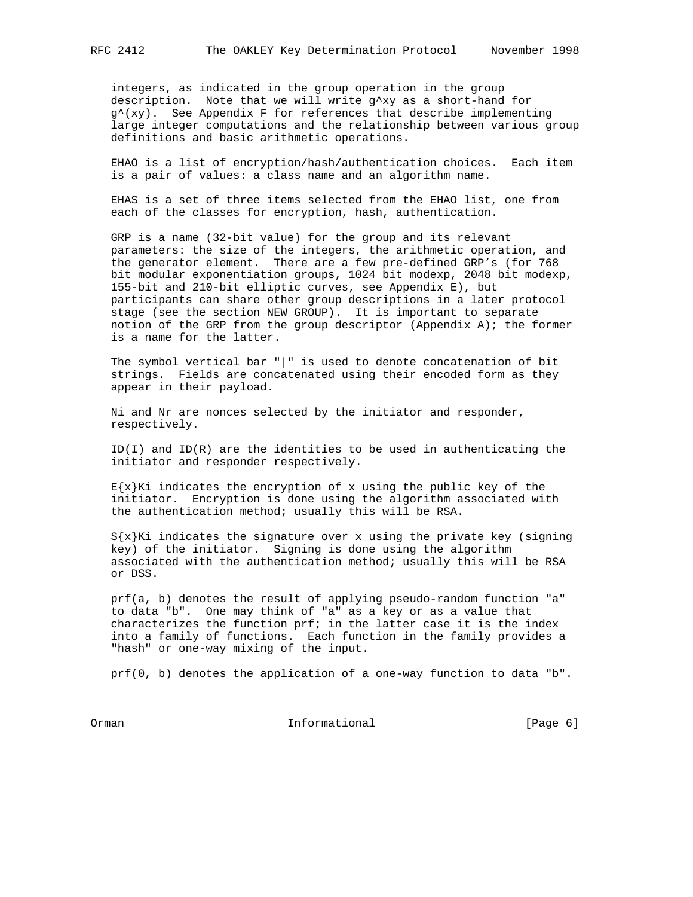integers, as indicated in the group operation in the group description. Note that we will write g^xy as a short-hand for  $g^*(xy)$ . See Appendix F for references that describe implementing large integer computations and the relationship between various group definitions and basic arithmetic operations.

 EHAO is a list of encryption/hash/authentication choices. Each item is a pair of values: a class name and an algorithm name.

 EHAS is a set of three items selected from the EHAO list, one from each of the classes for encryption, hash, authentication.

 GRP is a name (32-bit value) for the group and its relevant parameters: the size of the integers, the arithmetic operation, and the generator element. There are a few pre-defined GRP's (for 768 bit modular exponentiation groups, 1024 bit modexp, 2048 bit modexp, 155-bit and 210-bit elliptic curves, see Appendix E), but participants can share other group descriptions in a later protocol stage (see the section NEW GROUP). It is important to separate notion of the GRP from the group descriptor (Appendix A); the former is a name for the latter.

 The symbol vertical bar "|" is used to denote concatenation of bit strings. Fields are concatenated using their encoded form as they appear in their payload.

 Ni and Nr are nonces selected by the initiator and responder, respectively.

 $ID(I)$  and  $ID(R)$  are the identities to be used in authenticating the initiator and responder respectively.

 $E\{x\}$ Ki indicates the encryption of x using the public key of the initiator. Encryption is done using the algorithm associated with the authentication method; usually this will be RSA.

 $S\{x\}$ Ki indicates the signature over x using the private key (signing key) of the initiator. Signing is done using the algorithm associated with the authentication method; usually this will be RSA or DSS.

 prf(a, b) denotes the result of applying pseudo-random function "a" to data "b". One may think of "a" as a key or as a value that characterizes the function prf; in the latter case it is the index into a family of functions. Each function in the family provides a "hash" or one-way mixing of the input.

prf(0, b) denotes the application of a one-way function to data "b".

Orman **Informational Informational Informational Informational**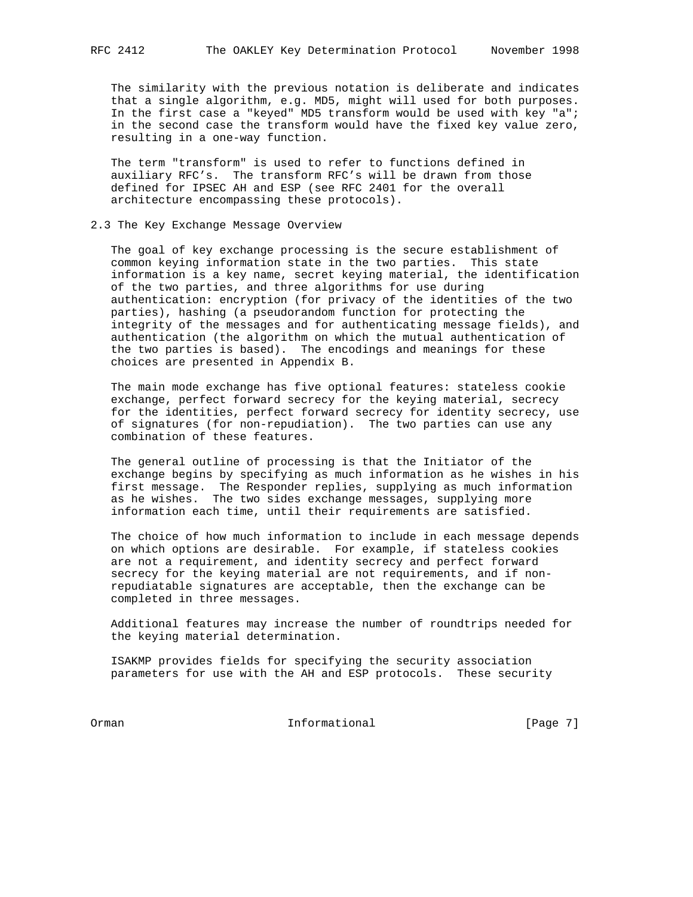The similarity with the previous notation is deliberate and indicates that a single algorithm, e.g. MD5, might will used for both purposes. In the first case a "keyed" MD5 transform would be used with key "a"; in the second case the transform would have the fixed key value zero, resulting in a one-way function.

 The term "transform" is used to refer to functions defined in auxiliary RFC's. The transform RFC's will be drawn from those defined for IPSEC AH and ESP (see RFC 2401 for the overall architecture encompassing these protocols).

### 2.3 The Key Exchange Message Overview

 The goal of key exchange processing is the secure establishment of common keying information state in the two parties. This state information is a key name, secret keying material, the identification of the two parties, and three algorithms for use during authentication: encryption (for privacy of the identities of the two parties), hashing (a pseudorandom function for protecting the integrity of the messages and for authenticating message fields), and authentication (the algorithm on which the mutual authentication of the two parties is based). The encodings and meanings for these choices are presented in Appendix B.

 The main mode exchange has five optional features: stateless cookie exchange, perfect forward secrecy for the keying material, secrecy for the identities, perfect forward secrecy for identity secrecy, use of signatures (for non-repudiation). The two parties can use any combination of these features.

 The general outline of processing is that the Initiator of the exchange begins by specifying as much information as he wishes in his first message. The Responder replies, supplying as much information as he wishes. The two sides exchange messages, supplying more information each time, until their requirements are satisfied.

 The choice of how much information to include in each message depends on which options are desirable. For example, if stateless cookies are not a requirement, and identity secrecy and perfect forward secrecy for the keying material are not requirements, and if non repudiatable signatures are acceptable, then the exchange can be completed in three messages.

 Additional features may increase the number of roundtrips needed for the keying material determination.

 ISAKMP provides fields for specifying the security association parameters for use with the AH and ESP protocols. These security

Orman Informational [Page 7]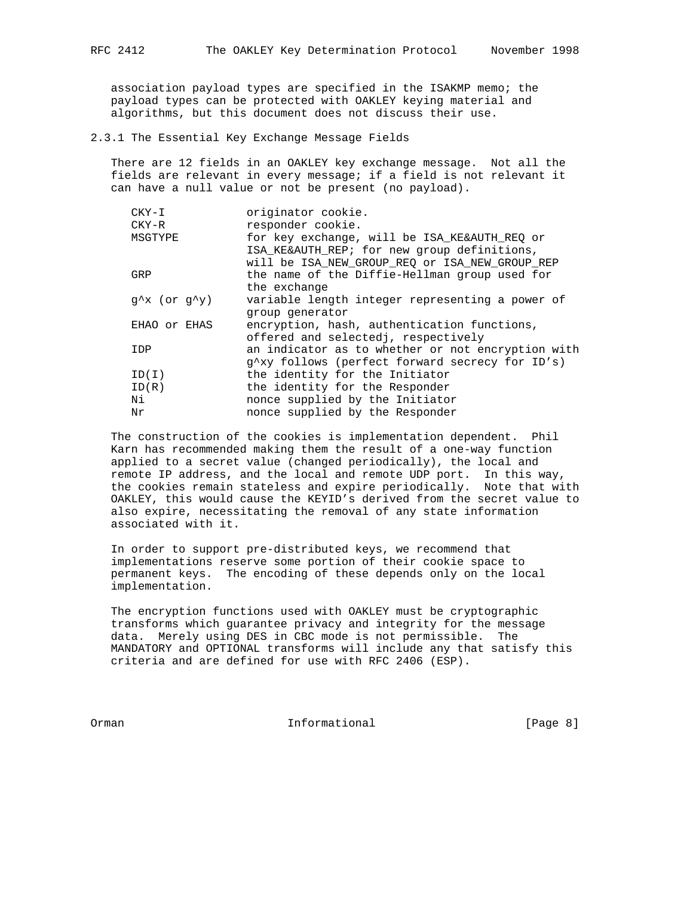association payload types are specified in the ISAKMP memo; the payload types can be protected with OAKLEY keying material and algorithms, but this document does not discuss their use.

2.3.1 The Essential Key Exchange Message Fields

 There are 12 fields in an OAKLEY key exchange message. Not all the fields are relevant in every message; if a field is not relevant it can have a null value or not be present (no payload).

| $CKY-I$           | originator cookie.                                |
|-------------------|---------------------------------------------------|
| $CKY-R$           | responder cookie.                                 |
| MSGTYPE           | for key exchange, will be ISA_KE&AUTH_REQ or      |
|                   | ISA_KE&AUTH_REP; for new group definitions,       |
|                   | will be ISA NEW GROUP REQ or ISA NEW GROUP REP    |
| GRP               | the name of the Diffie-Hellman group used for     |
|                   | the exchange                                      |
| $q^x$ (or $q^y$ ) | variable length integer representing a power of   |
|                   | group generator                                   |
| EHAO or EHAS      | encryption, hash, authentication functions,       |
|                   | offered and selectedj, respectively               |
| IDP               | an indicator as to whether or not encryption with |
|                   | g^xy follows (perfect forward secrecy for ID's)   |
| ID(I)             | the identity for the Initiator                    |
| ID(R)             | the identity for the Responder                    |
| Ni                | nonce supplied by the Initiator                   |
| Nr                | nonce supplied by the Responder                   |
|                   |                                                   |

 The construction of the cookies is implementation dependent. Phil Karn has recommended making them the result of a one-way function applied to a secret value (changed periodically), the local and remote IP address, and the local and remote UDP port. In this way, the cookies remain stateless and expire periodically. Note that with OAKLEY, this would cause the KEYID's derived from the secret value to also expire, necessitating the removal of any state information associated with it.

 In order to support pre-distributed keys, we recommend that implementations reserve some portion of their cookie space to permanent keys. The encoding of these depends only on the local implementation.

 The encryption functions used with OAKLEY must be cryptographic transforms which guarantee privacy and integrity for the message data. Merely using DES in CBC mode is not permissible. The MANDATORY and OPTIONAL transforms will include any that satisfy this criteria and are defined for use with RFC 2406 (ESP).

Orman **Informational Informational Informational Informational**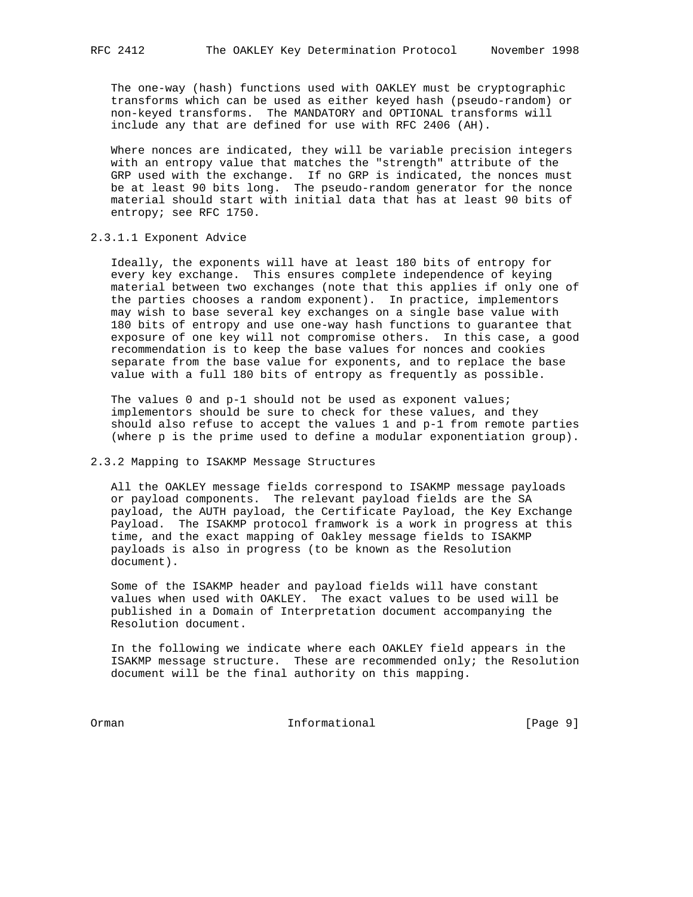The one-way (hash) functions used with OAKLEY must be cryptographic transforms which can be used as either keyed hash (pseudo-random) or non-keyed transforms. The MANDATORY and OPTIONAL transforms will include any that are defined for use with RFC 2406 (AH).

 Where nonces are indicated, they will be variable precision integers with an entropy value that matches the "strength" attribute of the GRP used with the exchange. If no GRP is indicated, the nonces must be at least 90 bits long. The pseudo-random generator for the nonce material should start with initial data that has at least 90 bits of entropy; see RFC 1750.

## 2.3.1.1 Exponent Advice

 Ideally, the exponents will have at least 180 bits of entropy for every key exchange. This ensures complete independence of keying material between two exchanges (note that this applies if only one of the parties chooses a random exponent). In practice, implementors may wish to base several key exchanges on a single base value with 180 bits of entropy and use one-way hash functions to guarantee that exposure of one key will not compromise others. In this case, a good recommendation is to keep the base values for nonces and cookies separate from the base value for exponents, and to replace the base value with a full 180 bits of entropy as frequently as possible.

 The values 0 and p-1 should not be used as exponent values; implementors should be sure to check for these values, and they should also refuse to accept the values 1 and p-1 from remote parties (where p is the prime used to define a modular exponentiation group).

### 2.3.2 Mapping to ISAKMP Message Structures

 All the OAKLEY message fields correspond to ISAKMP message payloads or payload components. The relevant payload fields are the SA payload, the AUTH payload, the Certificate Payload, the Key Exchange Payload. The ISAKMP protocol framwork is a work in progress at this time, and the exact mapping of Oakley message fields to ISAKMP payloads is also in progress (to be known as the Resolution document).

 Some of the ISAKMP header and payload fields will have constant values when used with OAKLEY. The exact values to be used will be published in a Domain of Interpretation document accompanying the Resolution document.

 In the following we indicate where each OAKLEY field appears in the ISAKMP message structure. These are recommended only; the Resolution document will be the final authority on this mapping.

Orman Informational [Page 9]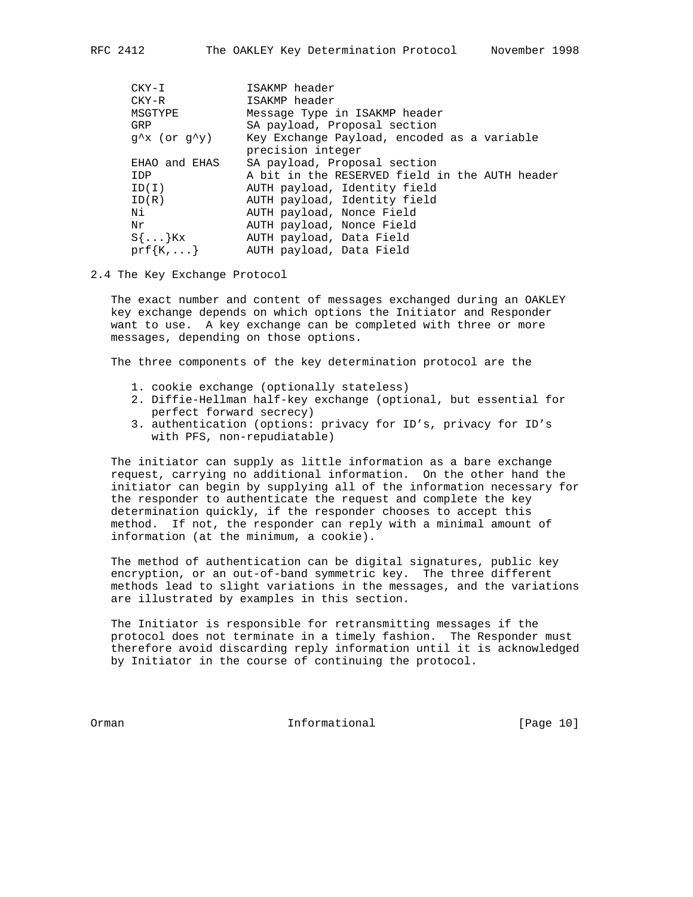| $CKY-I$           | ISAKMP header                                  |
|-------------------|------------------------------------------------|
| $CKY-R$           | ISAKMP header                                  |
| MSGTYPE           | Message Type in ISAKMP header                  |
| GRP               | SA payload, Proposal section                   |
| $q^x$ (or $q^y$ ) | Key Exchange Payload, encoded as a variable    |
|                   | precision integer                              |
| EHAO and EHAS     | SA payload, Proposal section                   |
| IDP               | A bit in the RESERVED field in the AUTH header |
| ID(I)             | AUTH payload, Identity field                   |
| ID(R)             | AUTH payload, Identity field                   |
| Νi                | AUTH payload, Nonce Field                      |
| Nr                | AUTH payload, Nonce Field                      |
| $S\{\ldots\}Kx$   | AUTH payload, Data Field                       |
| $prf\{K,\ldots\}$ | AUTH payload, Data Field                       |

2.4 The Key Exchange Protocol

 The exact number and content of messages exchanged during an OAKLEY key exchange depends on which options the Initiator and Responder want to use. A key exchange can be completed with three or more messages, depending on those options.

The three components of the key determination protocol are the

- 1. cookie exchange (optionally stateless)
- 2. Diffie-Hellman half-key exchange (optional, but essential for perfect forward secrecy)
- 3. authentication (options: privacy for ID's, privacy for ID's with PFS, non-repudiatable)

 The initiator can supply as little information as a bare exchange request, carrying no additional information. On the other hand the initiator can begin by supplying all of the information necessary for the responder to authenticate the request and complete the key determination quickly, if the responder chooses to accept this method. If not, the responder can reply with a minimal amount of information (at the minimum, a cookie).

 The method of authentication can be digital signatures, public key encryption, or an out-of-band symmetric key. The three different methods lead to slight variations in the messages, and the variations are illustrated by examples in this section.

 The Initiator is responsible for retransmitting messages if the protocol does not terminate in a timely fashion. The Responder must therefore avoid discarding reply information until it is acknowledged by Initiator in the course of continuing the protocol.

Orman **Informational Informational** [Page 10]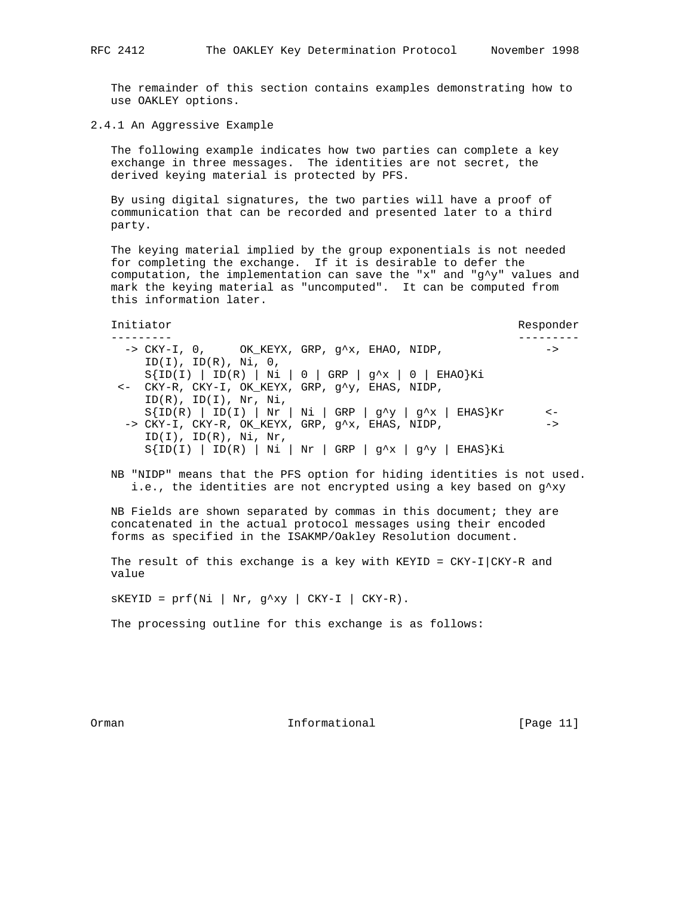The remainder of this section contains examples demonstrating how to use OAKLEY options.

2.4.1 An Aggressive Example

 The following example indicates how two parties can complete a key exchange in three messages. The identities are not secret, the derived keying material is protected by PFS.

 By using digital signatures, the two parties will have a proof of communication that can be recorded and presented later to a third party.

 The keying material implied by the group exponentials is not needed for completing the exchange. If it is desirable to defer the computation, the implementation can save the "x" and "g $\gamma$ " values and mark the keying material as "uncomputed". It can be computed from this information later.

| Initiator                                                                      | Responder     |
|--------------------------------------------------------------------------------|---------------|
|                                                                                |               |
| $\rightarrow$ CKY-I, 0, OK_KEYX, GRP, g^x, EHAO, NIDP,<br>ID(I), ID(R), Ni, 0, | $\rightarrow$ |
| $S\{ID(I)   ID(R)   Nil   0   GRP   g^x   0   EHAO\}$ Ki                       |               |
| $\leftarrow$ CKY-R, CKY-I, OK KEYX, GRP, $q^{\wedge}y$ , EHAS, NIDP,           |               |
| $ID(R)$ , $ID(I)$ , $Nr$ , $Ni$ ,                                              |               |
| $S\{ID(R)   ID(I)   Nr   Ni   GRP   g^y   g^x   EHAS\}$ Kr                     | $\lt$ $-$     |
| -> $CKY-I$ , $CKY-R$ , $OK$ KEYX, $GRP$ , $q^x$ , EHAS, NIDP,                  | $\rightarrow$ |
| ID(I), ID(R), Ni, Nr,                                                          |               |
| $S\{ID(I)   ID(R)   Nil   Nr   GRP   g^x   g^y   EHAS\}$ Ki                    |               |

 NB "NIDP" means that the PFS option for hiding identities is not used. i.e., the identities are not encrypted using a key based on g^xy

 NB Fields are shown separated by commas in this document; they are concatenated in the actual protocol messages using their encoded forms as specified in the ISAKMP/Oakley Resolution document.

The result of this exchange is a key with KEYID =  $CKY-I/CKY-R$  and value

 $SKEYID = prf(Ni | Nr, g^xy | CKY-I | CKY-R).$ 

The processing outline for this exchange is as follows:

Orman **Informational Informational** [Page 11]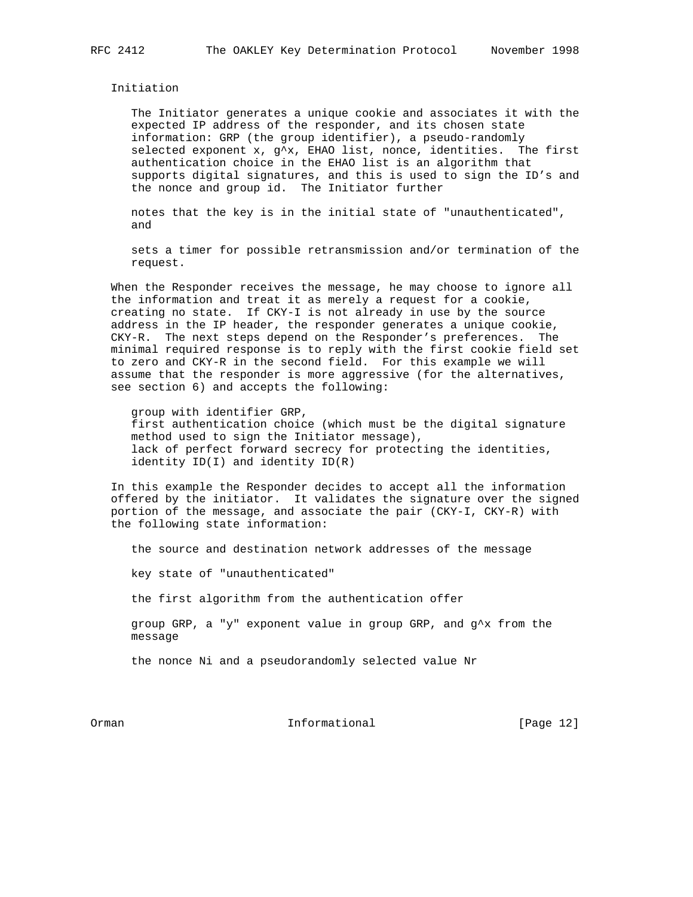Initiation

 The Initiator generates a unique cookie and associates it with the expected IP address of the responder, and its chosen state information: GRP (the group identifier), a pseudo-randomly selected exponent x,  $g^x$ x, EHAO list, nonce, identities. The first authentication choice in the EHAO list is an algorithm that supports digital signatures, and this is used to sign the ID's and the nonce and group id. The Initiator further

 notes that the key is in the initial state of "unauthenticated", and

 sets a timer for possible retransmission and/or termination of the request.

 When the Responder receives the message, he may choose to ignore all the information and treat it as merely a request for a cookie, creating no state. If CKY-I is not already in use by the source address in the IP header, the responder generates a unique cookie, CKY-R. The next steps depend on the Responder's preferences. The minimal required response is to reply with the first cookie field set to zero and CKY-R in the second field. For this example we will assume that the responder is more aggressive (for the alternatives, see section 6) and accepts the following:

 group with identifier GRP, first authentication choice (which must be the digital signature method used to sign the Initiator message), lack of perfect forward secrecy for protecting the identities, identity ID(I) and identity ID(R)

 In this example the Responder decides to accept all the information offered by the initiator. It validates the signature over the signed portion of the message, and associate the pair (CKY-I, CKY-R) with the following state information:

the source and destination network addresses of the message

key state of "unauthenticated"

the first algorithm from the authentication offer

group GRP, a "y" exponent value in group GRP, and  $g^{\wedge}x$  from the message

the nonce Ni and a pseudorandomly selected value Nr

Orman Informational [Page 12]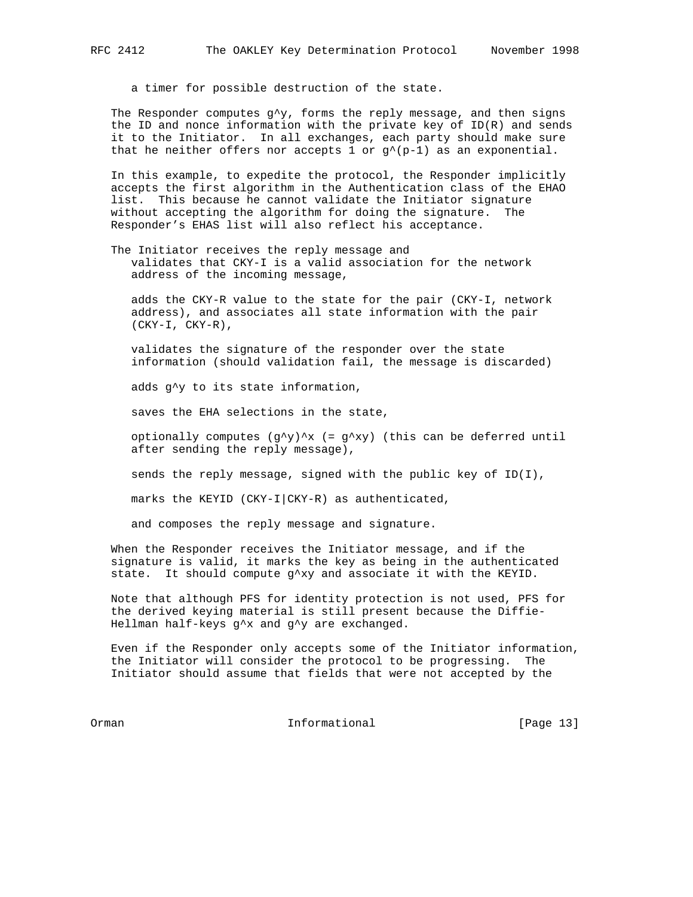The Responder computes  $g^{\wedge}y$ , forms the reply message, and then signs the ID and nonce information with the private key of  $ID(R)$  and sends it to the Initiator. In all exchanges, each party should make sure that he neither offers nor accepts 1 or  $g^{(p-1)}$  as an exponential.

 In this example, to expedite the protocol, the Responder implicitly accepts the first algorithm in the Authentication class of the EHAO list. This because he cannot validate the Initiator signature without accepting the algorithm for doing the signature. The Responder's EHAS list will also reflect his acceptance.

 The Initiator receives the reply message and validates that CKY-I is a valid association for the network address of the incoming message,

 adds the CKY-R value to the state for the pair (CKY-I, network address), and associates all state information with the pair (CKY-I, CKY-R),

 validates the signature of the responder over the state information (should validation fail, the message is discarded)

adds g^y to its state information,

saves the EHA selections in the state,

optionally computes  $(g^{\wedge}y)^{\wedge}x$  (= g^xy) (this can be deferred until after sending the reply message),

sends the reply message, signed with the public key of ID(I),

marks the KEYID (CKY-I|CKY-R) as authenticated,

and composes the reply message and signature.

 When the Responder receives the Initiator message, and if the signature is valid, it marks the key as being in the authenticated state. It should compute g^xy and associate it with the KEYID.

 Note that although PFS for identity protection is not used, PFS for the derived keying material is still present because the Diffie- Hellman half-keys g^x and g^y are exchanged.

 Even if the Responder only accepts some of the Initiator information, the Initiator will consider the protocol to be progressing. The Initiator should assume that fields that were not accepted by the

Orman Informational [Page 13]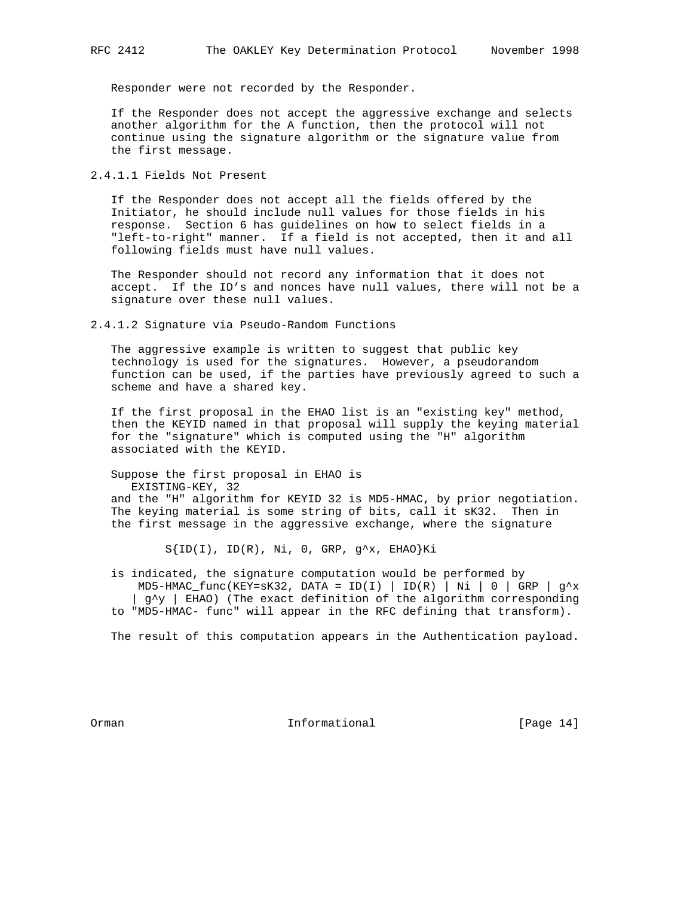Responder were not recorded by the Responder.

 If the Responder does not accept the aggressive exchange and selects another algorithm for the A function, then the protocol will not continue using the signature algorithm or the signature value from the first message.

2.4.1.1 Fields Not Present

 If the Responder does not accept all the fields offered by the Initiator, he should include null values for those fields in his response. Section 6 has guidelines on how to select fields in a "left-to-right" manner. If a field is not accepted, then it and all following fields must have null values.

 The Responder should not record any information that it does not accept. If the ID's and nonces have null values, there will not be a signature over these null values.

2.4.1.2 Signature via Pseudo-Random Functions

 The aggressive example is written to suggest that public key technology is used for the signatures. However, a pseudorandom function can be used, if the parties have previously agreed to such a scheme and have a shared key.

 If the first proposal in the EHAO list is an "existing key" method, then the KEYID named in that proposal will supply the keying material for the "signature" which is computed using the "H" algorithm associated with the KEYID.

 Suppose the first proposal in EHAO is EXISTING-KEY, 32

 and the "H" algorithm for KEYID 32 is MD5-HMAC, by prior negotiation. The keying material is some string of bits, call it sK32. Then in the first message in the aggressive exchange, where the signature

 $S\{ID(I), ID(R), Ni, 0, GRP, g^x, EHAO\}$ Ki

 is indicated, the signature computation would be performed by  $MD5-HMAC_func(KEY=sK32, DATA = ID(I) | ID(R) | Ni | 0 | GRP | g^x$ | g^y | EHAO) (The exact definition of the algorithm corresponding

to "MD5-HMAC- func" will appear in the RFC defining that transform).

The result of this computation appears in the Authentication payload.

Orman Informational [Page 14]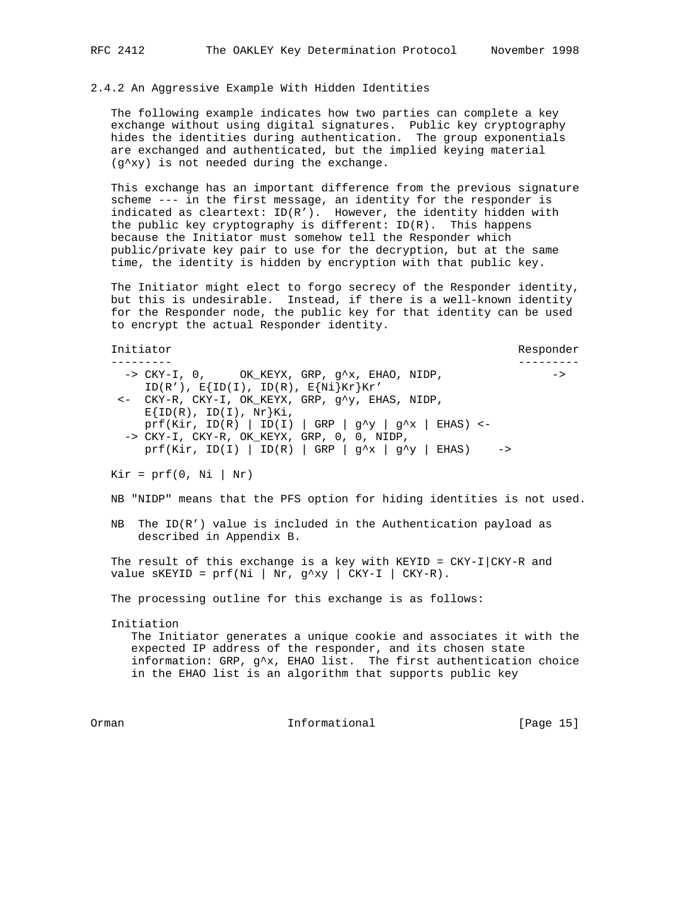### 2.4.2 An Aggressive Example With Hidden Identities

 The following example indicates how two parties can complete a key exchange without using digital signatures. Public key cryptography hides the identities during authentication. The group exponentials are exchanged and authenticated, but the implied keying material (g^xy) is not needed during the exchange.

 This exchange has an important difference from the previous signature scheme --- in the first message, an identity for the responder is indicated as cleartext:  $ID(R')$ . However, the identity hidden with the public key cryptography is different:  $ID(R)$ . This happens because the Initiator must somehow tell the Responder which public/private key pair to use for the decryption, but at the same time, the identity is hidden by encryption with that public key.

 The Initiator might elect to forgo secrecy of the Responder identity, but this is undesirable. Instead, if there is a well-known identity for the Responder node, the public key for that identity can be used to encrypt the actual Responder identity.

 Initiator Responder --------- ---------  $\rightarrow$  CKY-I, 0, OK\_KEYX, GRP, g^x, EHAO, NIDP,  $\rightarrow$ ID(R'),  $E\{ID(I), ID(R), E\{Nil\}Kr\}$  <- CKY-R, CKY-I, OK\_KEYX, GRP, g^y, EHAS, NIDP,  $E\{ID(R), ID(I), Nr\}$ Ki,  $prf(Kir, ID(R) | ID(I) | GRP | g^y | g^x$  | EHAS) <- -> CKY-I, CKY-R, OK\_KEYX, GRP, 0, 0, NIDP, prf(Kir, ID(I) | ID(R) | GRP | g<sup> $\lambda$ </sup>x | g<sup> $\lambda$ </sup>y | EHAS) ->

 $Kir = prf(0, Ni | Nr)$ 

NB "NIDP" means that the PFS option for hiding identities is not used.

NB The  $ID(R')$  value is included in the Authentication payload as described in Appendix B.

The result of this exchange is a key with KEYID =  $CKY-I/CKY-R$  and value  $SKEYID = prf(Ni | Nr, g^xY | CKY-I | CKY-R).$ 

The processing outline for this exchange is as follows:

Initiation

 The Initiator generates a unique cookie and associates it with the expected IP address of the responder, and its chosen state information: GRP, g^x, EHAO list. The first authentication choice in the EHAO list is an algorithm that supports public key

Orman Informational [Page 15]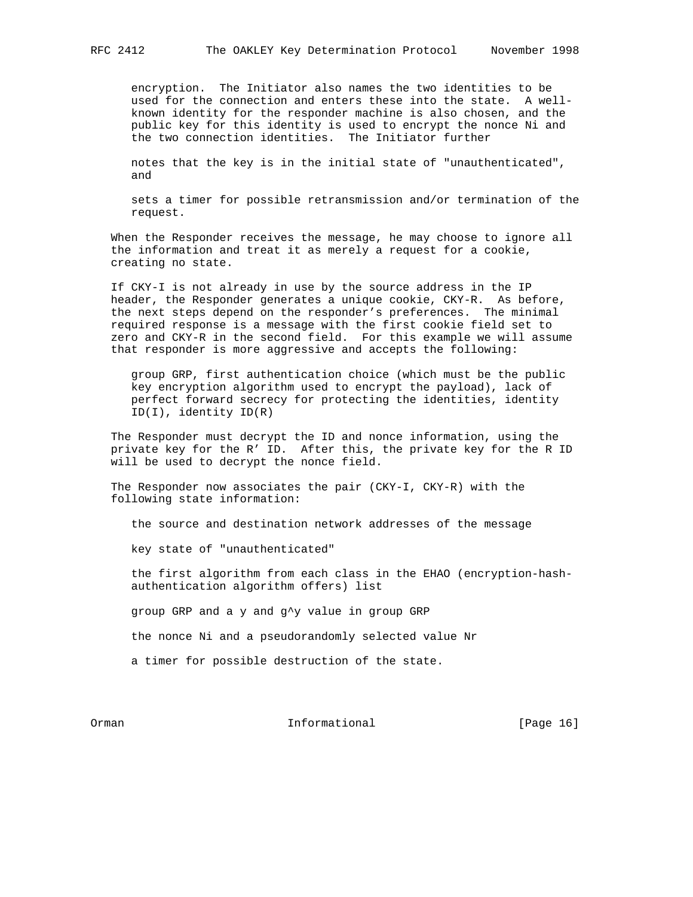encryption. The Initiator also names the two identities to be used for the connection and enters these into the state. A well known identity for the responder machine is also chosen, and the public key for this identity is used to encrypt the nonce Ni and the two connection identities. The Initiator further

 notes that the key is in the initial state of "unauthenticated", and

 sets a timer for possible retransmission and/or termination of the request.

 When the Responder receives the message, he may choose to ignore all the information and treat it as merely a request for a cookie, creating no state.

 If CKY-I is not already in use by the source address in the IP header, the Responder generates a unique cookie, CKY-R. As before, the next steps depend on the responder's preferences. The minimal required response is a message with the first cookie field set to zero and CKY-R in the second field. For this example we will assume that responder is more aggressive and accepts the following:

 group GRP, first authentication choice (which must be the public key encryption algorithm used to encrypt the payload), lack of perfect forward secrecy for protecting the identities, identity ID(I), identity ID(R)

 The Responder must decrypt the ID and nonce information, using the private key for the R' ID. After this, the private key for the R ID will be used to decrypt the nonce field.

 The Responder now associates the pair (CKY-I, CKY-R) with the following state information:

the source and destination network addresses of the message

key state of "unauthenticated"

 the first algorithm from each class in the EHAO (encryption-hash authentication algorithm offers) list

group GRP and a y and g^y value in group GRP

the nonce Ni and a pseudorandomly selected value Nr

a timer for possible destruction of the state.

Orman **Informational Informational** [Page 16]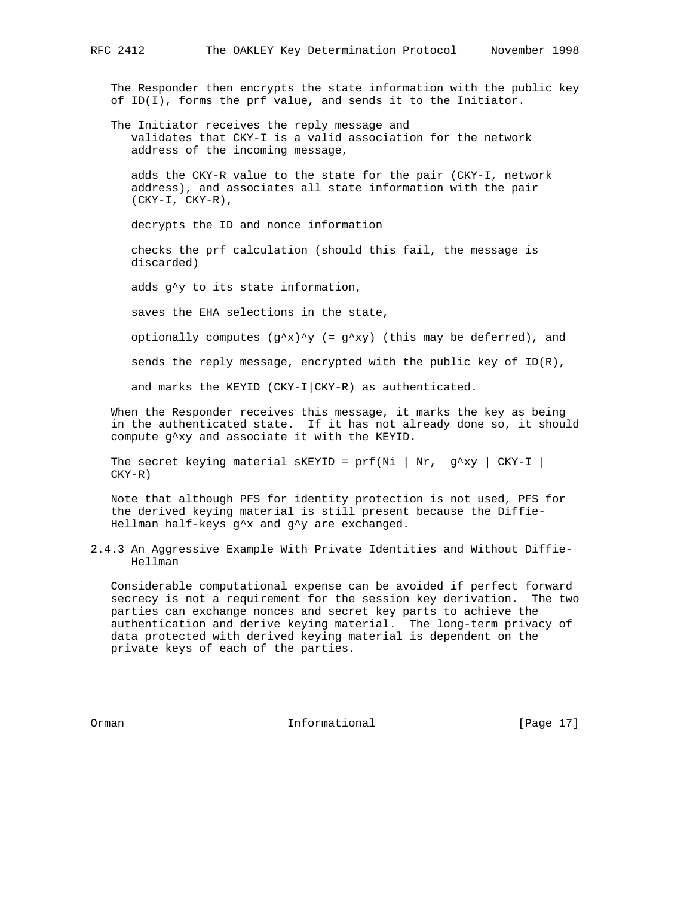The Responder then encrypts the state information with the public key of ID(I), forms the prf value, and sends it to the Initiator.

 The Initiator receives the reply message and validates that CKY-I is a valid association for the network address of the incoming message,

 adds the CKY-R value to the state for the pair (CKY-I, network address), and associates all state information with the pair (CKY-I, CKY-R),

decrypts the ID and nonce information

 checks the prf calculation (should this fail, the message is discarded)

adds g^y to its state information,

saves the EHA selections in the state,

optionally computes  $(g^x)(y)$  (= g<sup>\*</sup>xy) (this may be deferred), and

sends the reply message, encrypted with the public key of ID(R),

and marks the KEYID (CKY-I|CKY-R) as authenticated.

 When the Responder receives this message, it marks the key as being in the authenticated state. If it has not already done so, it should compute g^xy and associate it with the KEYID.

The secret keying material sKEYID =  $prf(Ni \mid Nr, g^xy \mid CKY-I$ CKY-R)

 Note that although PFS for identity protection is not used, PFS for the derived keying material is still present because the Diffie- Hellman half-keys g^x and g^y are exchanged.

2.4.3 An Aggressive Example With Private Identities and Without Diffie- Hellman

 Considerable computational expense can be avoided if perfect forward secrecy is not a requirement for the session key derivation. The two parties can exchange nonces and secret key parts to achieve the authentication and derive keying material. The long-term privacy of data protected with derived keying material is dependent on the private keys of each of the parties.

Orman **Informational Informational** [Page 17]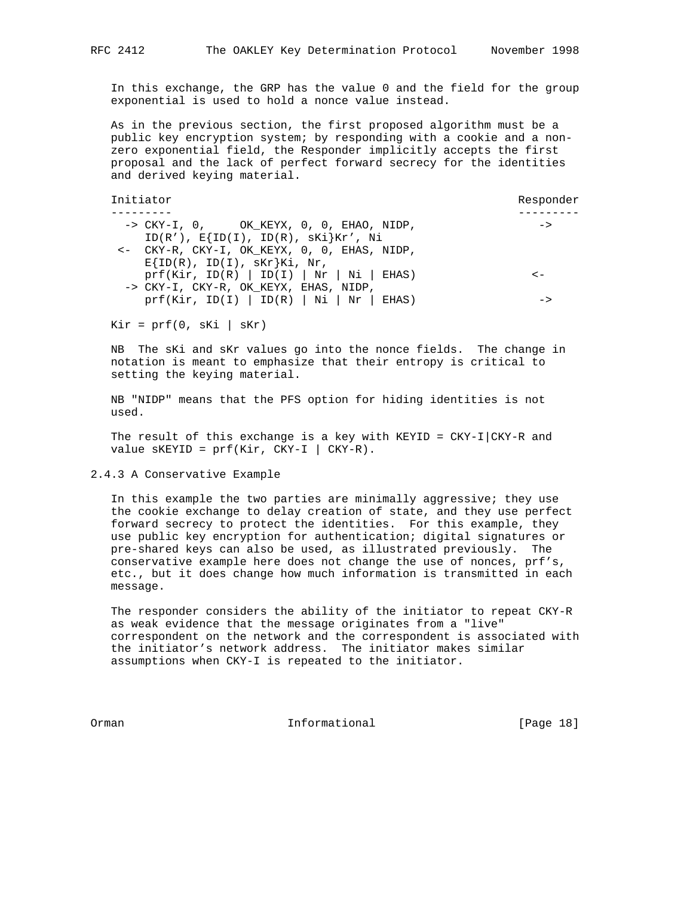In this exchange, the GRP has the value 0 and the field for the group exponential is used to hold a nonce value instead.

 As in the previous section, the first proposed algorithm must be a public key encryption system; by responding with a cookie and a non zero exponential field, the Responder implicitly accepts the first proposal and the lack of perfect forward secrecy for the identities and derived keying material.

| Initiator |                                                                                                  | Responder      |
|-----------|--------------------------------------------------------------------------------------------------|----------------|
|           | $\rightarrow$ CKY-I, 0, OK KEYX, 0, 0, EHAO, NIDP,                                               | $\rightarrow$  |
|           | $ID(R')$ , $E\{ID(I)$ , $ID(R)$ , $SKi\}Kr'$ , Ni<br><- CKY-R, CKY-I, OK KEYX, 0, 0, EHAS, NIDP, |                |
|           | $E\{ID(R), ID(I), SKr\}$ Ki, Nr,<br>$prf(Kir, ID(R)   ID(I)   Nr   Ni   EHAS)$                   | <u> &lt; –</u> |
|           | -> CKY-I, CKY-R, OK KEYX, EHAS, NIDP,<br>$prf(Kir, ID(I)   ID(R)   Ni   Nr   EHAS)$              | ->             |

 $Kir = prf(0, SKi | SKr)$ 

 NB The sKi and sKr values go into the nonce fields. The change in notation is meant to emphasize that their entropy is critical to setting the keying material.

 NB "NIDP" means that the PFS option for hiding identities is not used.

The result of this exchange is a key with KEYID =  $CKY-I/CKY-R$  and value  $SKEYID = prf(Kir, CKY-I | CKY-R)$ .

2.4.3 A Conservative Example

 In this example the two parties are minimally aggressive; they use the cookie exchange to delay creation of state, and they use perfect forward secrecy to protect the identities. For this example, they use public key encryption for authentication; digital signatures or pre-shared keys can also be used, as illustrated previously. The conservative example here does not change the use of nonces, prf's, etc., but it does change how much information is transmitted in each message.

 The responder considers the ability of the initiator to repeat CKY-R as weak evidence that the message originates from a "live" correspondent on the network and the correspondent is associated with the initiator's network address. The initiator makes similar assumptions when CKY-I is repeated to the initiator.

Orman **Informational Informational** [Page 18]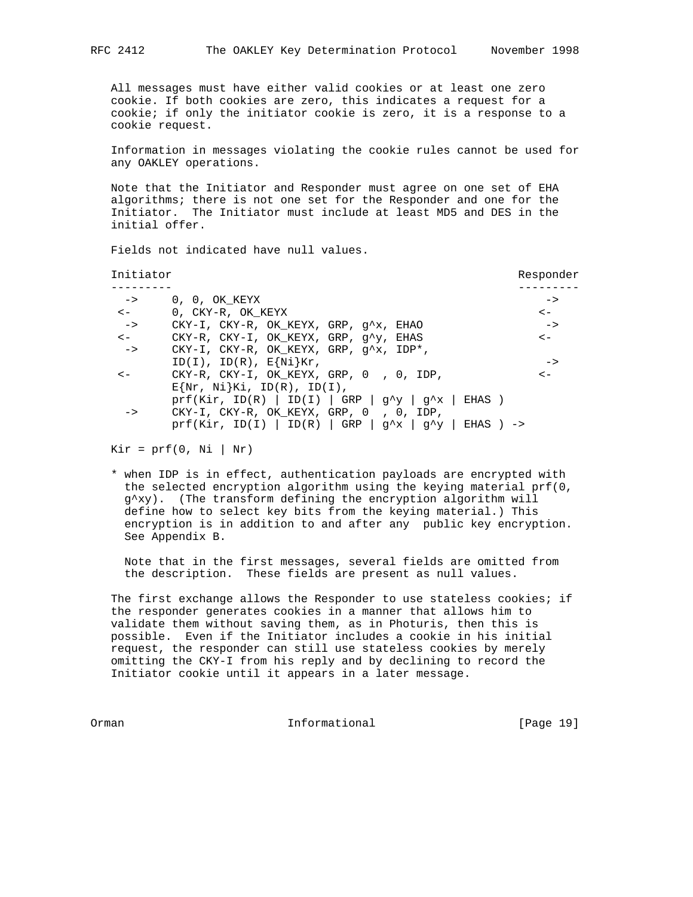All messages must have either valid cookies or at least one zero cookie. If both cookies are zero, this indicates a request for a cookie; if only the initiator cookie is zero, it is a response to a cookie request.

 Information in messages violating the cookie rules cannot be used for any OAKLEY operations.

 Note that the Initiator and Responder must agree on one set of EHA algorithms; there is not one set for the Responder and one for the Initiator. The Initiator must include at least MD5 and DES in the initial offer.

Fields not indicated have null values.

| Initiator     |                                                      | Responder     |
|---------------|------------------------------------------------------|---------------|
|               |                                                      |               |
| $\rightarrow$ | 0, 0, OK KEYX                                        | $\rightarrow$ |
| $\lt$ $-$     | 0, CKY-R, OK KEYX                                    | $\leftarrow$  |
| $\rightarrow$ | CKY-I, CKY-R, OK_KEYX, GRP, g^x, EHAO                | $\rightarrow$ |
| $\leftarrow$  | CKY-R, CKY-I, OK KEYX, GRP, $q^y$ , EHAS             | $\lt$ $-$     |
| $\rightarrow$ | CKY-I, CKY-R, OK KEYX, GRP, $q^x$ x, IDP*,           |               |
|               | $ID(I), ID(R), E{Ni}$ Kr,                            | $\rightarrow$ |
| $\lt$ $-$     | CKY-R, CKY-I, OK KEYX, GRP, 0, 0, IDP,               | $\lt$ $-$     |
|               | $E\{Nr, Ni\}Ki, ID(R), ID(I),$                       |               |
|               | $prf(Kir, ID(R)   ID(I)   GRP   g^y   g^x$<br>EHAS ) |               |
| $\rightarrow$ | CKY-I, CKY-R, OK KEYX, GRP, 0, 0, IDP,               |               |
|               | $prf(Kir, ID(I)   ID(R)   GRP   g^x$<br>q^y<br>EHAS  |               |

 $Kir = prf(0, Ni | Nr)$ 

 \* when IDP is in effect, authentication payloads are encrypted with the selected encryption algorithm using the keying material prf(0, g^xy). (The transform defining the encryption algorithm will define how to select key bits from the keying material.) This encryption is in addition to and after any public key encryption. See Appendix B.

 Note that in the first messages, several fields are omitted from the description. These fields are present as null values.

 The first exchange allows the Responder to use stateless cookies; if the responder generates cookies in a manner that allows him to validate them without saving them, as in Photuris, then this is possible. Even if the Initiator includes a cookie in his initial request, the responder can still use stateless cookies by merely omitting the CKY-I from his reply and by declining to record the Initiator cookie until it appears in a later message.

Orman Informational [Page 19]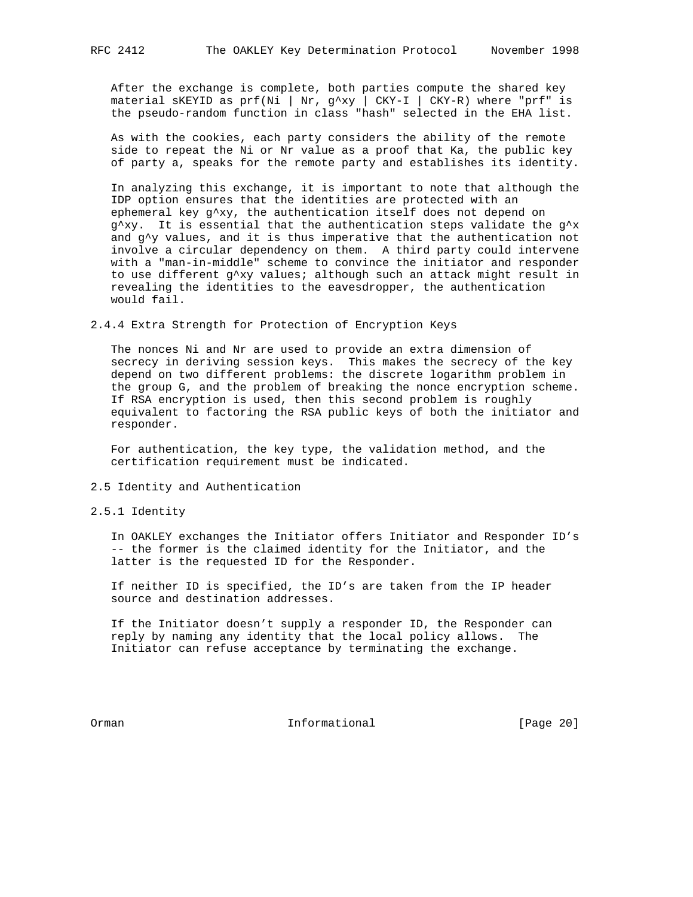After the exchange is complete, both parties compute the shared key material sKEYID as  $\text{prf}(\text{Ni} \mid \text{Nr. g^{\star}xy} \mid \text{CKY-I} \mid \text{CKY-R})$  where " $\text{prf}$ " is the pseudo-random function in class "hash" selected in the EHA list.

 As with the cookies, each party considers the ability of the remote side to repeat the Ni or Nr value as a proof that Ka, the public key of party a, speaks for the remote party and establishes its identity.

 In analyzing this exchange, it is important to note that although the IDP option ensures that the identities are protected with an ephemeral key g^xy, the authentication itself does not depend on  $g^{\star}xy$ . It is essential that the authentication steps validate the  $g^{\star}x$ and  $g^{\wedge}y$  values, and it is thus imperative that the authentication not involve a circular dependency on them. A third party could intervene with a "man-in-middle" scheme to convince the initiator and responder to use different g^xy values; although such an attack might result in revealing the identities to the eavesdropper, the authentication would fail.

2.4.4 Extra Strength for Protection of Encryption Keys

 The nonces Ni and Nr are used to provide an extra dimension of secrecy in deriving session keys. This makes the secrecy of the key depend on two different problems: the discrete logarithm problem in the group G, and the problem of breaking the nonce encryption scheme. If RSA encryption is used, then this second problem is roughly equivalent to factoring the RSA public keys of both the initiator and responder.

 For authentication, the key type, the validation method, and the certification requirement must be indicated.

2.5 Identity and Authentication

2.5.1 Identity

 In OAKLEY exchanges the Initiator offers Initiator and Responder ID's -- the former is the claimed identity for the Initiator, and the latter is the requested ID for the Responder.

 If neither ID is specified, the ID's are taken from the IP header source and destination addresses.

 If the Initiator doesn't supply a responder ID, the Responder can reply by naming any identity that the local policy allows. The Initiator can refuse acceptance by terminating the exchange.

Orman Informational [Page 20]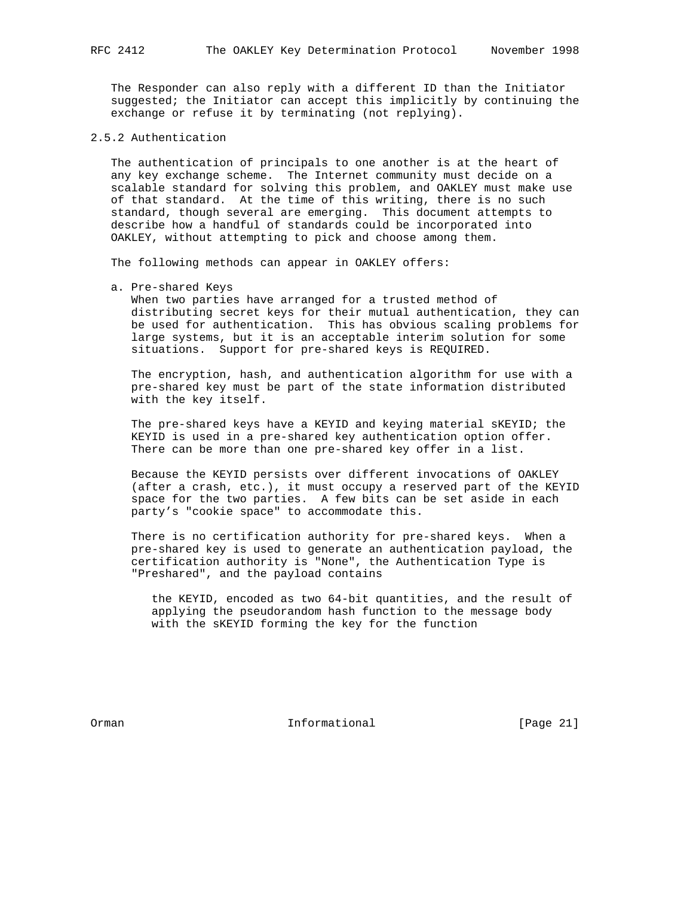The Responder can also reply with a different ID than the Initiator suggested; the Initiator can accept this implicitly by continuing the exchange or refuse it by terminating (not replying).

2.5.2 Authentication

 The authentication of principals to one another is at the heart of any key exchange scheme. The Internet community must decide on a scalable standard for solving this problem, and OAKLEY must make use of that standard. At the time of this writing, there is no such standard, though several are emerging. This document attempts to describe how a handful of standards could be incorporated into OAKLEY, without attempting to pick and choose among them.

The following methods can appear in OAKLEY offers:

a. Pre-shared Keys

 When two parties have arranged for a trusted method of distributing secret keys for their mutual authentication, they can be used for authentication. This has obvious scaling problems for large systems, but it is an acceptable interim solution for some situations. Support for pre-shared keys is REQUIRED.

 The encryption, hash, and authentication algorithm for use with a pre-shared key must be part of the state information distributed with the key itself.

The pre-shared keys have a KEYID and keying material sKEYID; the KEYID is used in a pre-shared key authentication option offer. There can be more than one pre-shared key offer in a list.

 Because the KEYID persists over different invocations of OAKLEY (after a crash, etc.), it must occupy a reserved part of the KEYID space for the two parties. A few bits can be set aside in each party's "cookie space" to accommodate this.

 There is no certification authority for pre-shared keys. When a pre-shared key is used to generate an authentication payload, the certification authority is "None", the Authentication Type is "Preshared", and the payload contains

 the KEYID, encoded as two 64-bit quantities, and the result of applying the pseudorandom hash function to the message body with the sKEYID forming the key for the function

Orman **Informational Informational** [Page 21]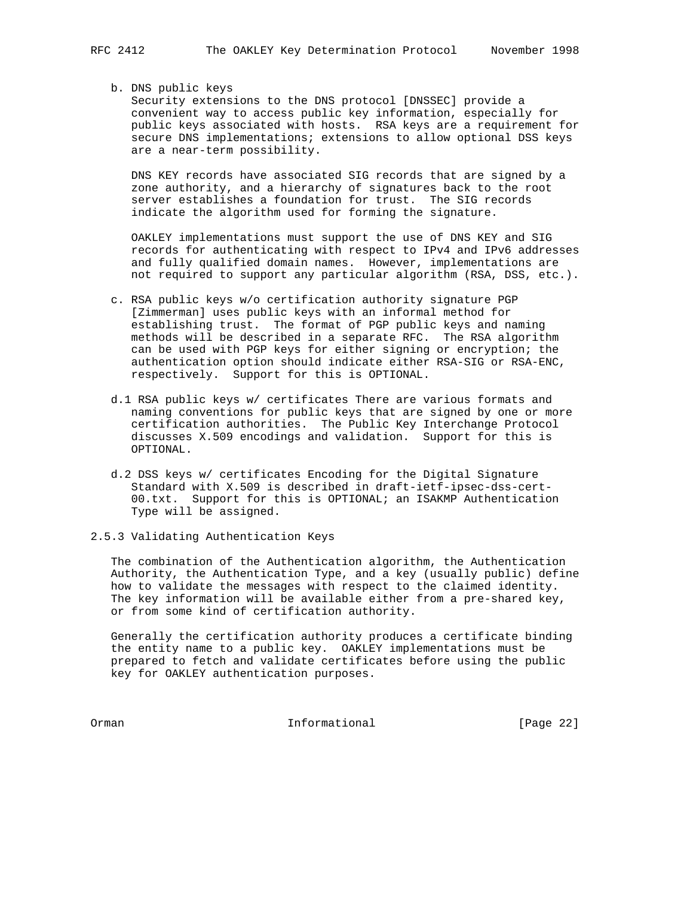b. DNS public keys

 Security extensions to the DNS protocol [DNSSEC] provide a convenient way to access public key information, especially for public keys associated with hosts. RSA keys are a requirement for secure DNS implementations; extensions to allow optional DSS keys are a near-term possibility.

 DNS KEY records have associated SIG records that are signed by a zone authority, and a hierarchy of signatures back to the root server establishes a foundation for trust. The SIG records indicate the algorithm used for forming the signature.

 OAKLEY implementations must support the use of DNS KEY and SIG records for authenticating with respect to IPv4 and IPv6 addresses and fully qualified domain names. However, implementations are not required to support any particular algorithm (RSA, DSS, etc.).

- c. RSA public keys w/o certification authority signature PGP [Zimmerman] uses public keys with an informal method for establishing trust. The format of PGP public keys and naming methods will be described in a separate RFC. The RSA algorithm can be used with PGP keys for either signing or encryption; the authentication option should indicate either RSA-SIG or RSA-ENC, respectively. Support for this is OPTIONAL.
- d.1 RSA public keys w/ certificates There are various formats and naming conventions for public keys that are signed by one or more certification authorities. The Public Key Interchange Protocol discusses X.509 encodings and validation. Support for this is OPTIONAL.
- d.2 DSS keys w/ certificates Encoding for the Digital Signature Standard with X.509 is described in draft-ietf-ipsec-dss-cert- 00.txt. Support for this is OPTIONAL; an ISAKMP Authentication Type will be assigned.
- 2.5.3 Validating Authentication Keys

 The combination of the Authentication algorithm, the Authentication Authority, the Authentication Type, and a key (usually public) define how to validate the messages with respect to the claimed identity. The key information will be available either from a pre-shared key, or from some kind of certification authority.

 Generally the certification authority produces a certificate binding the entity name to a public key. OAKLEY implementations must be prepared to fetch and validate certificates before using the public key for OAKLEY authentication purposes.

Orman Informational [Page 22]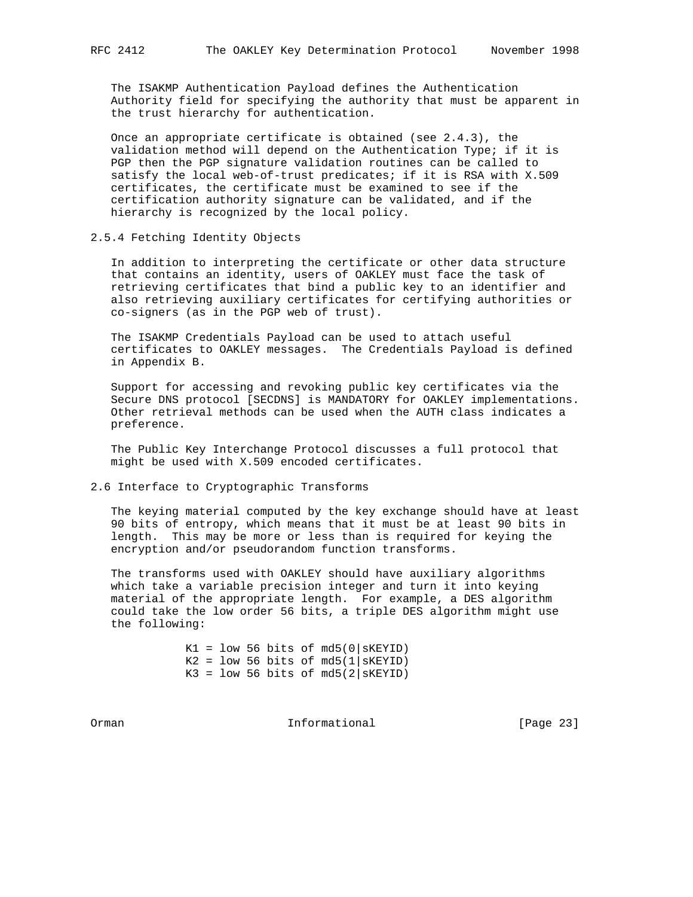The ISAKMP Authentication Payload defines the Authentication Authority field for specifying the authority that must be apparent in the trust hierarchy for authentication.

Once an appropriate certificate is obtained (see  $2.4.3$ ), the validation method will depend on the Authentication Type; if it is PGP then the PGP signature validation routines can be called to satisfy the local web-of-trust predicates; if it is RSA with X.509 certificates, the certificate must be examined to see if the certification authority signature can be validated, and if the hierarchy is recognized by the local policy.

2.5.4 Fetching Identity Objects

 In addition to interpreting the certificate or other data structure that contains an identity, users of OAKLEY must face the task of retrieving certificates that bind a public key to an identifier and also retrieving auxiliary certificates for certifying authorities or co-signers (as in the PGP web of trust).

 The ISAKMP Credentials Payload can be used to attach useful certificates to OAKLEY messages. The Credentials Payload is defined in Appendix B.

 Support for accessing and revoking public key certificates via the Secure DNS protocol [SECDNS] is MANDATORY for OAKLEY implementations. Other retrieval methods can be used when the AUTH class indicates a preference.

 The Public Key Interchange Protocol discusses a full protocol that might be used with X.509 encoded certificates.

### 2.6 Interface to Cryptographic Transforms

 The keying material computed by the key exchange should have at least 90 bits of entropy, which means that it must be at least 90 bits in length. This may be more or less than is required for keying the encryption and/or pseudorandom function transforms.

 The transforms used with OAKLEY should have auxiliary algorithms which take a variable precision integer and turn it into keying material of the appropriate length. For example, a DES algorithm could take the low order 56 bits, a triple DES algorithm might use the following:

> $K1 =$  low 56 bits of md5(0| sKEYID)  $K2 =$  low 56 bits of md5(1|sKEYID)  $K3 =$  low 56 bits of md5(2|sKEYID)

Orman Informational [Page 23]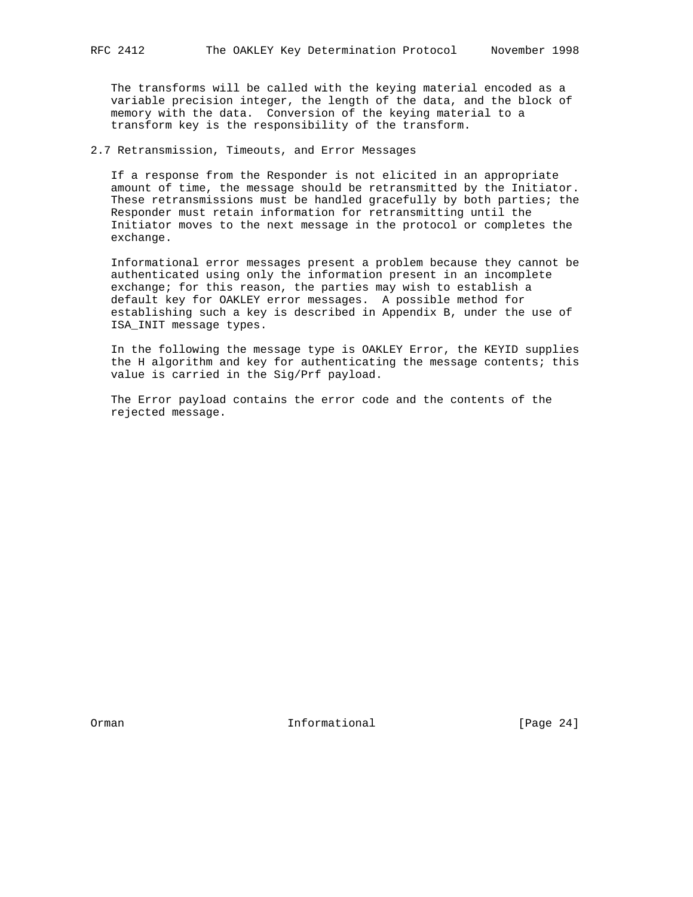The transforms will be called with the keying material encoded as a variable precision integer, the length of the data, and the block of memory with the data. Conversion of the keying material to a transform key is the responsibility of the transform.

## 2.7 Retransmission, Timeouts, and Error Messages

 If a response from the Responder is not elicited in an appropriate amount of time, the message should be retransmitted by the Initiator. These retransmissions must be handled gracefully by both parties; the Responder must retain information for retransmitting until the Initiator moves to the next message in the protocol or completes the exchange.

 Informational error messages present a problem because they cannot be authenticated using only the information present in an incomplete exchange; for this reason, the parties may wish to establish a default key for OAKLEY error messages. A possible method for establishing such a key is described in Appendix B, under the use of ISA\_INIT message types.

 In the following the message type is OAKLEY Error, the KEYID supplies the H algorithm and key for authenticating the message contents; this value is carried in the Sig/Prf payload.

 The Error payload contains the error code and the contents of the rejected message.

Orman Informational [Page 24]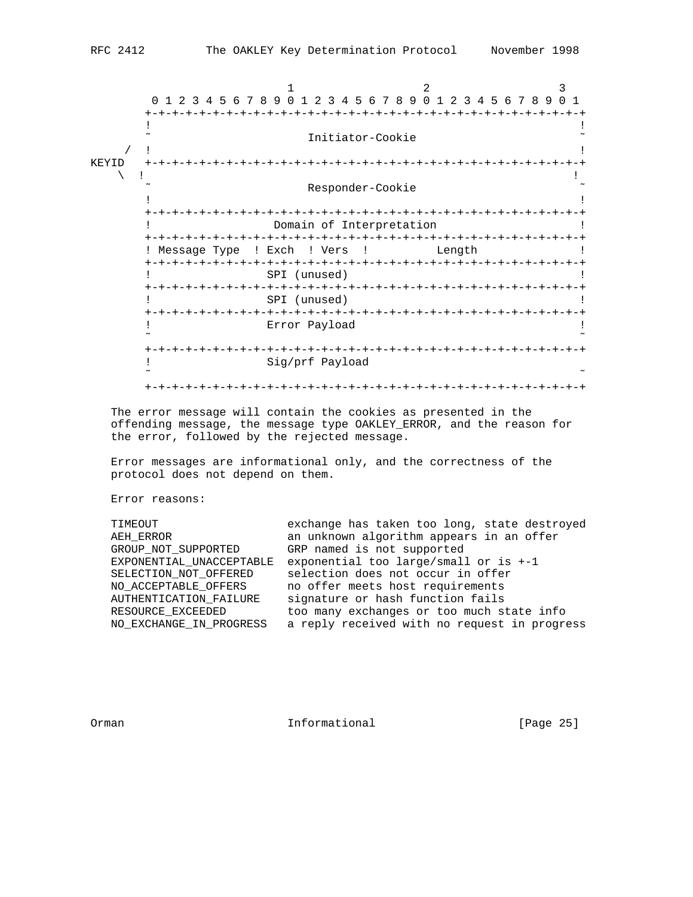|       | 23456789012345678901                               | 2 3 4 5 6 7 8 9 | $\Omega$<br>$\overline{1}$ |  |  |  |  |  |
|-------|----------------------------------------------------|-----------------|----------------------------|--|--|--|--|--|
|       |                                                    |                 |                            |  |  |  |  |  |
|       |                                                    |                 |                            |  |  |  |  |  |
|       | Initiator-Cookie                                   |                 |                            |  |  |  |  |  |
|       |                                                    |                 |                            |  |  |  |  |  |
| KEYID | -+-+-+-+-+-+-+-+-+                                 |                 |                            |  |  |  |  |  |
|       |                                                    |                 |                            |  |  |  |  |  |
|       | Responder-Cookie                                   |                 |                            |  |  |  |  |  |
|       |                                                    |                 |                            |  |  |  |  |  |
|       |                                                    |                 |                            |  |  |  |  |  |
|       | Domain of Interpretation                           |                 |                            |  |  |  |  |  |
|       |                                                    |                 |                            |  |  |  |  |  |
|       |                                                    |                 |                            |  |  |  |  |  |
|       | ! Exch<br>! Message Type<br>! Vers<br>$\mathbf{I}$ | Length          |                            |  |  |  |  |  |
|       |                                                    |                 |                            |  |  |  |  |  |
|       | SPI (unused)                                       |                 |                            |  |  |  |  |  |
|       |                                                    |                 |                            |  |  |  |  |  |
|       | SPI (unused)                                       |                 |                            |  |  |  |  |  |
|       |                                                    |                 |                            |  |  |  |  |  |
|       | Error Payload                                      |                 |                            |  |  |  |  |  |
|       |                                                    |                 | $- + - +$                  |  |  |  |  |  |
|       | Sig/prf Payload                                    |                 |                            |  |  |  |  |  |
|       |                                                    |                 |                            |  |  |  |  |  |

 The error message will contain the cookies as presented in the offending message, the message type OAKLEY\_ERROR, and the reason for the error, followed by the rejected message.

 Error messages are informational only, and the correctness of the protocol does not depend on them.

Error reasons:

 TIMEOUT exchange has taken too long, state destroyed AEH\_ERROR an unknown algorithm appears in an offer GROUP\_NOT\_SUPPORTED GRP named is not supported EXPONENTIAL\_UNACCEPTABLE exponential too large/small or is +-1 SELECTION\_NOT\_OFFERED selection does not occur in offer NO\_ACCEPTABLE\_OFFERS no offer meets host requirements AUTHENTICATION\_FAILURE signature or hash function fails RESOURCE\_EXCEEDED too many exchanges or too much state info NO\_EXCHANGE\_IN\_PROGRESS a reply received with no request in progress

Orman **Informational Informational** [Page 25]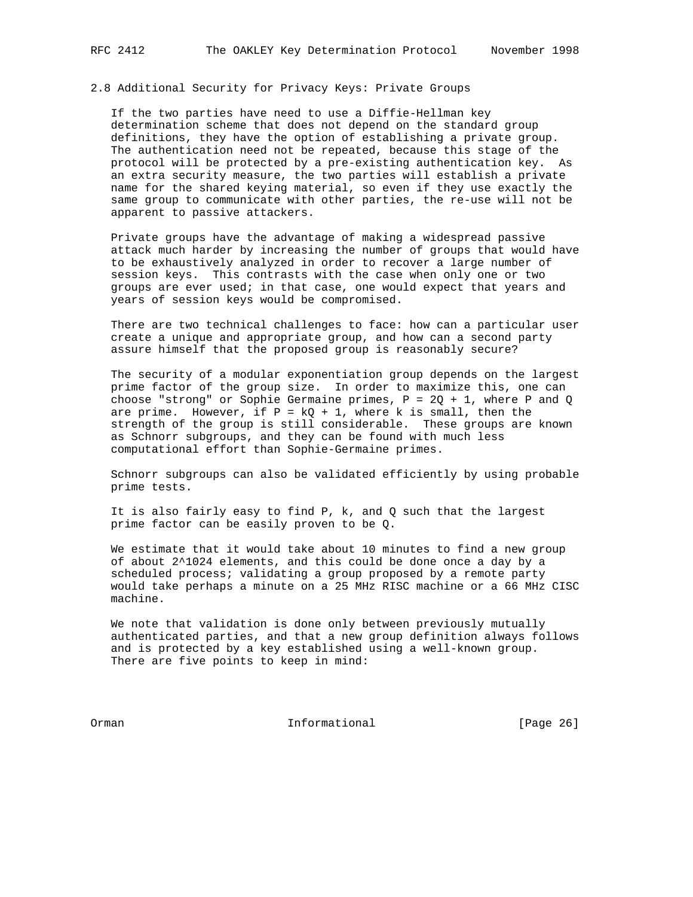## 2.8 Additional Security for Privacy Keys: Private Groups

 If the two parties have need to use a Diffie-Hellman key determination scheme that does not depend on the standard group definitions, they have the option of establishing a private group. The authentication need not be repeated, because this stage of the protocol will be protected by a pre-existing authentication key. As an extra security measure, the two parties will establish a private name for the shared keying material, so even if they use exactly the same group to communicate with other parties, the re-use will not be apparent to passive attackers.

 Private groups have the advantage of making a widespread passive attack much harder by increasing the number of groups that would have to be exhaustively analyzed in order to recover a large number of session keys. This contrasts with the case when only one or two groups are ever used; in that case, one would expect that years and years of session keys would be compromised.

 There are two technical challenges to face: how can a particular user create a unique and appropriate group, and how can a second party assure himself that the proposed group is reasonably secure?

 The security of a modular exponentiation group depends on the largest prime factor of the group size. In order to maximize this, one can choose "strong" or Sophie Germaine primes,  $P = 2Q + 1$ , where P and Q are prime. However, if  $P = kQ + 1$ , where k is small, then the strength of the group is still considerable. These groups are known as Schnorr subgroups, and they can be found with much less computational effort than Sophie-Germaine primes.

 Schnorr subgroups can also be validated efficiently by using probable prime tests.

 It is also fairly easy to find P, k, and Q such that the largest prime factor can be easily proven to be Q.

 We estimate that it would take about 10 minutes to find a new group of about 2^1024 elements, and this could be done once a day by a scheduled process; validating a group proposed by a remote party would take perhaps a minute on a 25 MHz RISC machine or a 66 MHz CISC machine.

 We note that validation is done only between previously mutually authenticated parties, and that a new group definition always follows and is protected by a key established using a well-known group. There are five points to keep in mind:

Orman Informational [Page 26]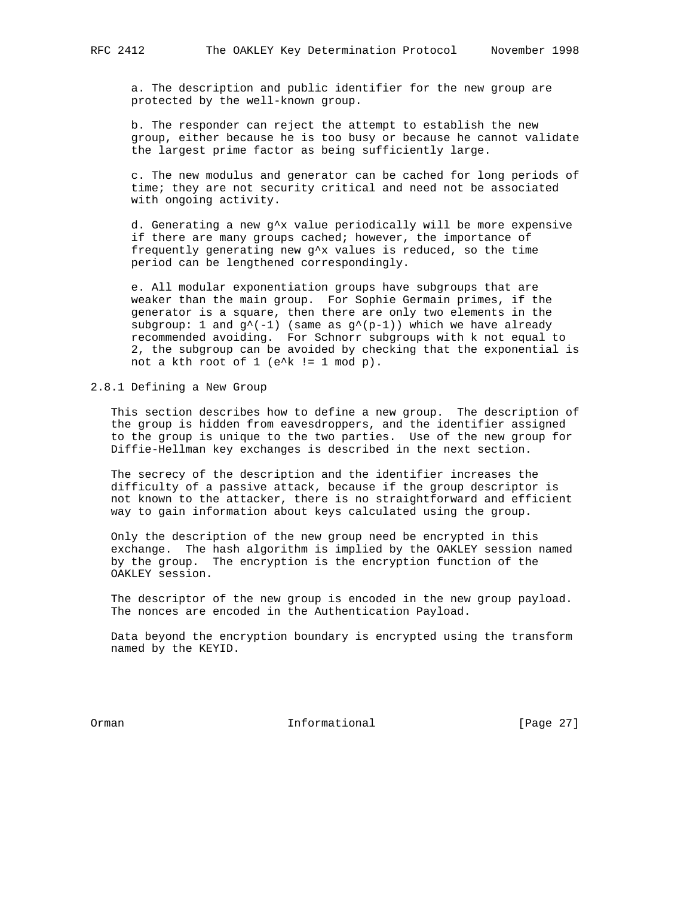a. The description and public identifier for the new group are protected by the well-known group.

 b. The responder can reject the attempt to establish the new group, either because he is too busy or because he cannot validate the largest prime factor as being sufficiently large.

 c. The new modulus and generator can be cached for long periods of time; they are not security critical and need not be associated with ongoing activity.

d. Generating a new  $g^x$ x value periodically will be more expensive if there are many groups cached; however, the importance of frequently generating new  $g^x$ x values is reduced, so the time period can be lengthened correspondingly.

 e. All modular exponentiation groups have subgroups that are weaker than the main group. For Sophie Germain primes, if the generator is a square, then there are only two elements in the subgroup: 1 and  $g^*(-1)$  (same as  $g^*(p-1)$ ) which we have already recommended avoiding. For Schnorr subgroups with k not equal to 2, the subgroup can be avoided by checking that the exponential is not a kth root of  $1$  (e<sup> $\lambda$ </sup>k != 1 mod p).

2.8.1 Defining a New Group

 This section describes how to define a new group. The description of the group is hidden from eavesdroppers, and the identifier assigned to the group is unique to the two parties. Use of the new group for Diffie-Hellman key exchanges is described in the next section.

 The secrecy of the description and the identifier increases the difficulty of a passive attack, because if the group descriptor is not known to the attacker, there is no straightforward and efficient way to gain information about keys calculated using the group.

 Only the description of the new group need be encrypted in this exchange. The hash algorithm is implied by the OAKLEY session named by the group. The encryption is the encryption function of the OAKLEY session.

 The descriptor of the new group is encoded in the new group payload. The nonces are encoded in the Authentication Payload.

 Data beyond the encryption boundary is encrypted using the transform named by the KEYID.

Orman **Informational Informational** [Page 27]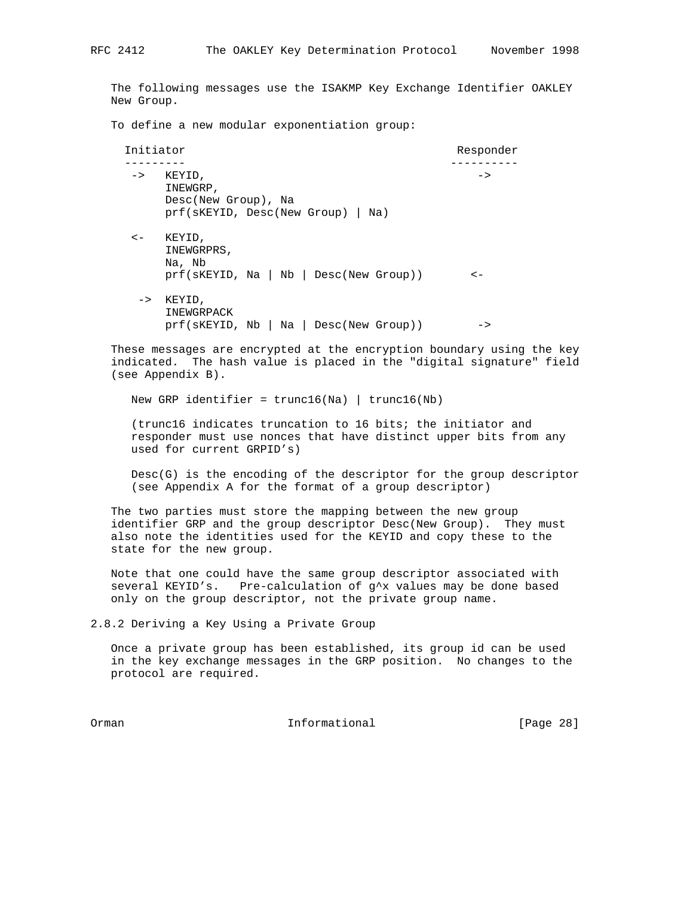The following messages use the ISAKMP Key Exchange Identifier OAKLEY New Group.

To define a new modular exponentiation group:

| Initiator     |                                                                                   | Responder     |
|---------------|-----------------------------------------------------------------------------------|---------------|
| $\rightarrow$ | KEYID,<br>INEWGRP,<br>Desc(New Group), Na<br>$prf$ (sKEYID, Desc(New Group)   Na) | $\rightarrow$ |
| $\lt$ $-$     | KEYID,<br>INEWGRPRS,<br>Na, Nb<br>$prf(sKEYID, Na   Nb   Desc(New Group))$        | $\lt$ $-$     |
| $\rightarrow$ | KEYID,<br>INEWGRPACK<br>prf(sKEYID, Nb<br>Na   Desc(New Group))                   | ->            |

 These messages are encrypted at the encryption boundary using the key indicated. The hash value is placed in the "digital signature" field (see Appendix B).

New GRP identifier =  $trunc16(Na)$  |  $trunc16(Nb)$ 

 (trunc16 indicates truncation to 16 bits; the initiator and responder must use nonces that have distinct upper bits from any used for current GRPID's)

 Desc(G) is the encoding of the descriptor for the group descriptor (see Appendix A for the format of a group descriptor)

 The two parties must store the mapping between the new group identifier GRP and the group descriptor Desc(New Group). They must also note the identities used for the KEYID and copy these to the state for the new group.

 Note that one could have the same group descriptor associated with several KEYID's. Pre-calculation of g^x values may be done based only on the group descriptor, not the private group name.

2.8.2 Deriving a Key Using a Private Group

 Once a private group has been established, its group id can be used in the key exchange messages in the GRP position. No changes to the protocol are required.

Orman Informational [Page 28]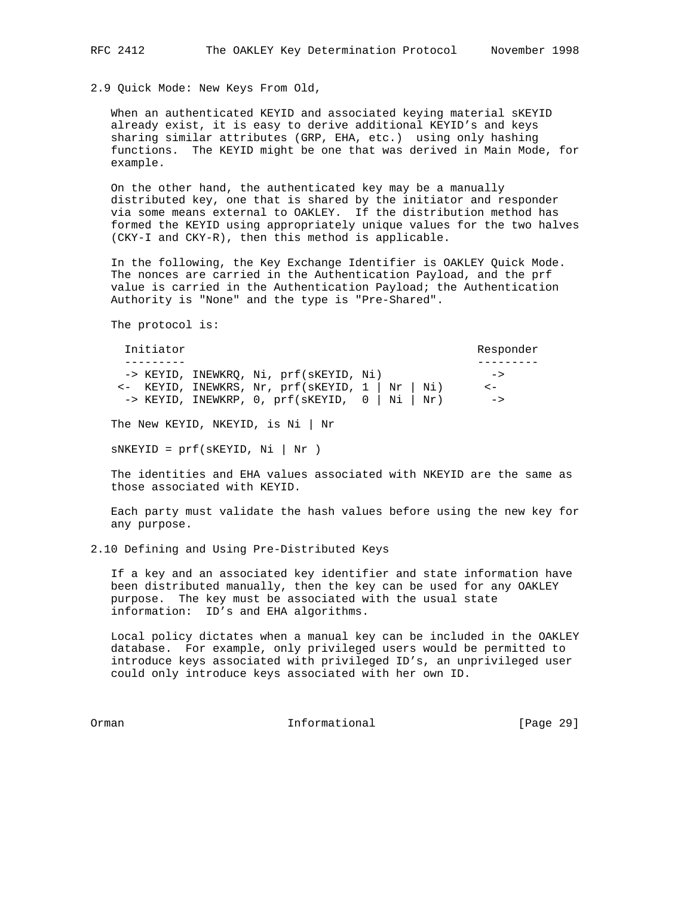2.9 Quick Mode: New Keys From Old,

 When an authenticated KEYID and associated keying material sKEYID already exist, it is easy to derive additional KEYID's and keys sharing similar attributes (GRP, EHA, etc.) using only hashing functions. The KEYID might be one that was derived in Main Mode, for example.

 On the other hand, the authenticated key may be a manually distributed key, one that is shared by the initiator and responder via some means external to OAKLEY. If the distribution method has formed the KEYID using appropriately unique values for the two halves (CKY-I and CKY-R), then this method is applicable.

 In the following, the Key Exchange Identifier is OAKLEY Quick Mode. The nonces are carried in the Authentication Payload, and the prf value is carried in the Authentication Payload; the Authentication Authority is "None" and the type is "Pre-Shared".

The protocol is:

 Initiator Responder --------- --------- -> KEYID, INEWKRQ, Ni, prf(sKEYID, Ni) -> <- KEYID, INEWKRS, Nr, prf(sKEYID, 1 | Nr | Ni) <- -> KEYID, INEWKRP, 0, prf(sKEYID, 0 | Ni | Nr) ->

The New KEYID, NKEYID, is Ni | Nr

 $SNKEYID = prf(SKEYID, Ni | Nr)$ 

 The identities and EHA values associated with NKEYID are the same as those associated with KEYID.

 Each party must validate the hash values before using the new key for any purpose.

2.10 Defining and Using Pre-Distributed Keys

 If a key and an associated key identifier and state information have been distributed manually, then the key can be used for any OAKLEY purpose. The key must be associated with the usual state information: ID's and EHA algorithms.

 Local policy dictates when a manual key can be included in the OAKLEY database. For example, only privileged users would be permitted to introduce keys associated with privileged ID's, an unprivileged user could only introduce keys associated with her own ID.

Orman Informational [Page 29]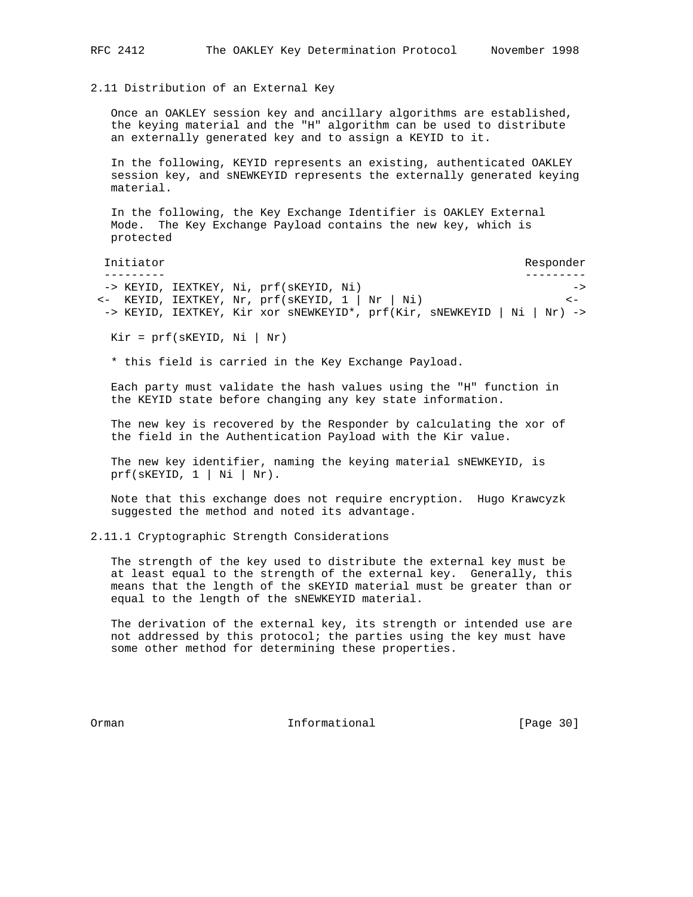### 2.11 Distribution of an External Key

 Once an OAKLEY session key and ancillary algorithms are established, the keying material and the "H" algorithm can be used to distribute an externally generated key and to assign a KEYID to it.

 In the following, KEYID represents an existing, authenticated OAKLEY session key, and sNEWKEYID represents the externally generated keying material.

 In the following, the Key Exchange Identifier is OAKLEY External Mode. The Key Exchange Payload contains the new key, which is protected

 Initiator Responder --------- --------- -> KEYID, IEXTKEY, Ni, prf(sKEYID, Ni) -> <- KEYID, IEXTKEY, Nr, prf(sKEYID, 1 | Nr | Ni) <- -> KEYID, IEXTKEY, Kir xor sNEWKEYID\*, prf(Kir, sNEWKEYID | Ni | Nr) ->

Kir =  $prf$ (sKEYID, Ni | Nr)

\* this field is carried in the Key Exchange Payload.

 Each party must validate the hash values using the "H" function in the KEYID state before changing any key state information.

 The new key is recovered by the Responder by calculating the xor of the field in the Authentication Payload with the Kir value.

 The new key identifier, naming the keying material sNEWKEYID, is  $prf$ (sKEYID,  $1 | Ni | Nr$ ).

 Note that this exchange does not require encryption. Hugo Krawcyzk suggested the method and noted its advantage.

2.11.1 Cryptographic Strength Considerations

 The strength of the key used to distribute the external key must be at least equal to the strength of the external key. Generally, this means that the length of the sKEYID material must be greater than or equal to the length of the sNEWKEYID material.

 The derivation of the external key, its strength or intended use are not addressed by this protocol; the parties using the key must have some other method for determining these properties.

Orman Informational [Page 30]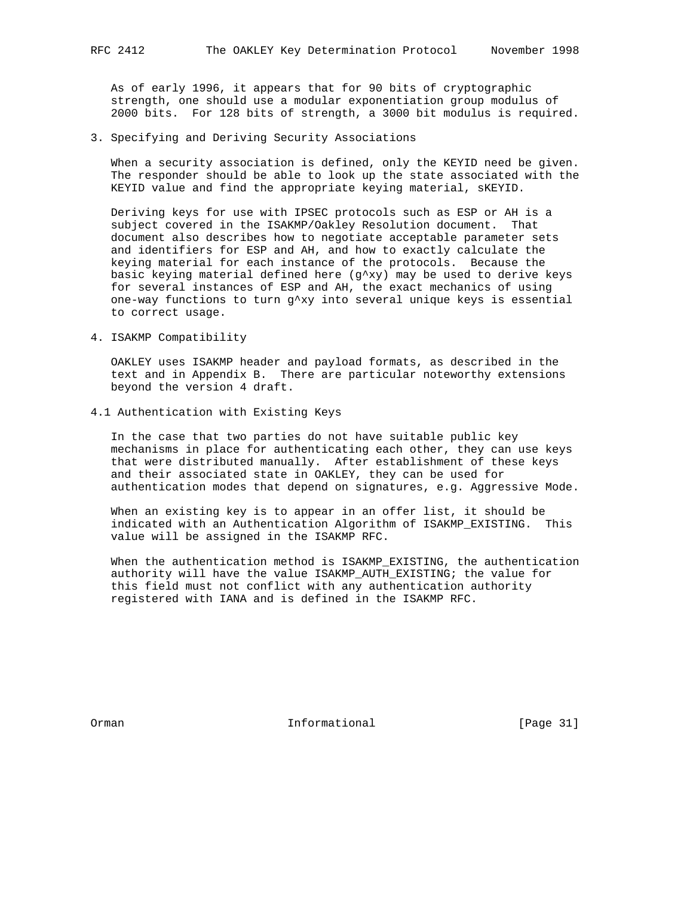As of early 1996, it appears that for 90 bits of cryptographic strength, one should use a modular exponentiation group modulus of 2000 bits. For 128 bits of strength, a 3000 bit modulus is required.

3. Specifying and Deriving Security Associations

 When a security association is defined, only the KEYID need be given. The responder should be able to look up the state associated with the KEYID value and find the appropriate keying material, sKEYID.

 Deriving keys for use with IPSEC protocols such as ESP or AH is a subject covered in the ISAKMP/Oakley Resolution document. That document also describes how to negotiate acceptable parameter sets and identifiers for ESP and AH, and how to exactly calculate the keying material for each instance of the protocols. Because the basic keying material defined here  $(g^kxy)$  may be used to derive keys for several instances of ESP and AH, the exact mechanics of using one-way functions to turn g^xy into several unique keys is essential to correct usage.

4. ISAKMP Compatibility

 OAKLEY uses ISAKMP header and payload formats, as described in the text and in Appendix B. There are particular noteworthy extensions beyond the version 4 draft.

4.1 Authentication with Existing Keys

 In the case that two parties do not have suitable public key mechanisms in place for authenticating each other, they can use keys that were distributed manually. After establishment of these keys and their associated state in OAKLEY, they can be used for authentication modes that depend on signatures, e.g. Aggressive Mode.

 When an existing key is to appear in an offer list, it should be indicated with an Authentication Algorithm of ISAKMP\_EXISTING. This value will be assigned in the ISAKMP RFC.

 When the authentication method is ISAKMP\_EXISTING, the authentication authority will have the value ISAKMP\_AUTH\_EXISTING; the value for this field must not conflict with any authentication authority registered with IANA and is defined in the ISAKMP RFC.

Orman Informational [Page 31]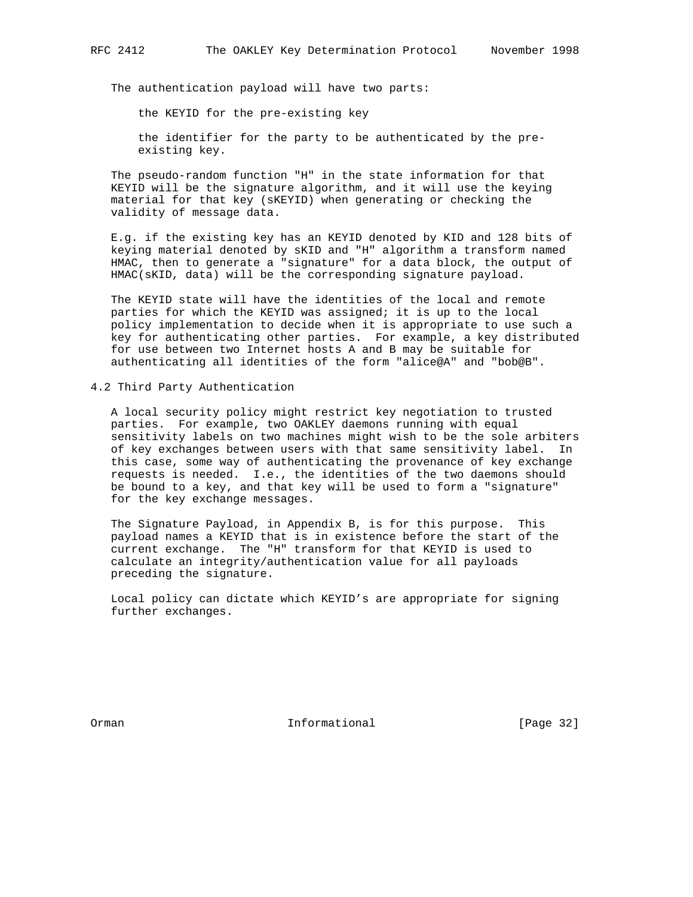The authentication payload will have two parts:

the KEYID for the pre-existing key

 the identifier for the party to be authenticated by the pre existing key.

 The pseudo-random function "H" in the state information for that KEYID will be the signature algorithm, and it will use the keying material for that key (sKEYID) when generating or checking the validity of message data.

 E.g. if the existing key has an KEYID denoted by KID and 128 bits of keying material denoted by sKID and "H" algorithm a transform named HMAC, then to generate a "signature" for a data block, the output of HMAC(sKID, data) will be the corresponding signature payload.

 The KEYID state will have the identities of the local and remote parties for which the KEYID was assigned; it is up to the local policy implementation to decide when it is appropriate to use such a key for authenticating other parties. For example, a key distributed for use between two Internet hosts A and B may be suitable for authenticating all identities of the form "alice@A" and "bob@B".

4.2 Third Party Authentication

 A local security policy might restrict key negotiation to trusted parties. For example, two OAKLEY daemons running with equal sensitivity labels on two machines might wish to be the sole arbiters of key exchanges between users with that same sensitivity label. In this case, some way of authenticating the provenance of key exchange requests is needed. I.e., the identities of the two daemons should be bound to a key, and that key will be used to form a "signature" for the key exchange messages.

 The Signature Payload, in Appendix B, is for this purpose. This payload names a KEYID that is in existence before the start of the current exchange. The "H" transform for that KEYID is used to calculate an integrity/authentication value for all payloads preceding the signature.

 Local policy can dictate which KEYID's are appropriate for signing further exchanges.

Orman Informational [Page 32]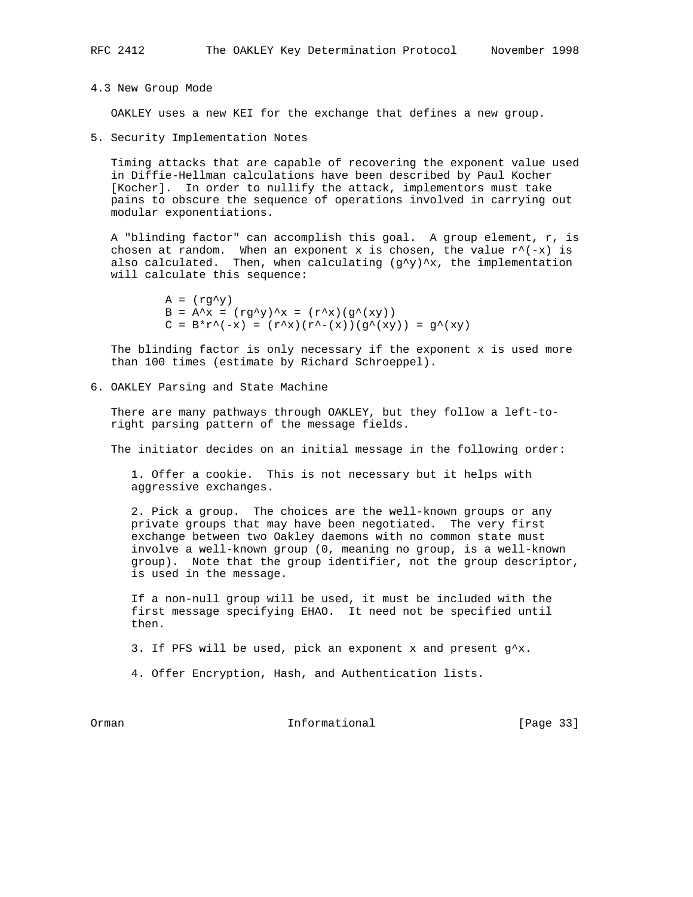4.3 New Group Mode

OAKLEY uses a new KEI for the exchange that defines a new group.

5. Security Implementation Notes

 Timing attacks that are capable of recovering the exponent value used in Diffie-Hellman calculations have been described by Paul Kocher [Kocher]. In order to nullify the attack, implementors must take pains to obscure the sequence of operations involved in carrying out modular exponentiations.

 A "blinding factor" can accomplish this goal. A group element, r, is chosen at random. When an exponent x is chosen, the value  $r^*(-x)$  is also calculated. Then, when calculating  $(g^{\wedge}y)^{\wedge}x$ , the implementation will calculate this sequence:

> $A = (rg^y)$  $B = A^x = (rg^y)^x = (r^x)(g^x)(xy)$  $C = B * r^(-x) = (r^x)(r^-(x))(g^x(xy)) = g^x(xy)$

 The blinding factor is only necessary if the exponent x is used more than 100 times (estimate by Richard Schroeppel).

6. OAKLEY Parsing and State Machine

 There are many pathways through OAKLEY, but they follow a left-to right parsing pattern of the message fields.

The initiator decides on an initial message in the following order:

 1. Offer a cookie. This is not necessary but it helps with aggressive exchanges.

 2. Pick a group. The choices are the well-known groups or any private groups that may have been negotiated. The very first exchange between two Oakley daemons with no common state must involve a well-known group (0, meaning no group, is a well-known group). Note that the group identifier, not the group descriptor, is used in the message.

 If a non-null group will be used, it must be included with the first message specifying EHAO. It need not be specified until then.

3. If PFS will be used, pick an exponent x and present  $g^x$ x.

4. Offer Encryption, Hash, and Authentication lists.

Orman Informational [Page 33]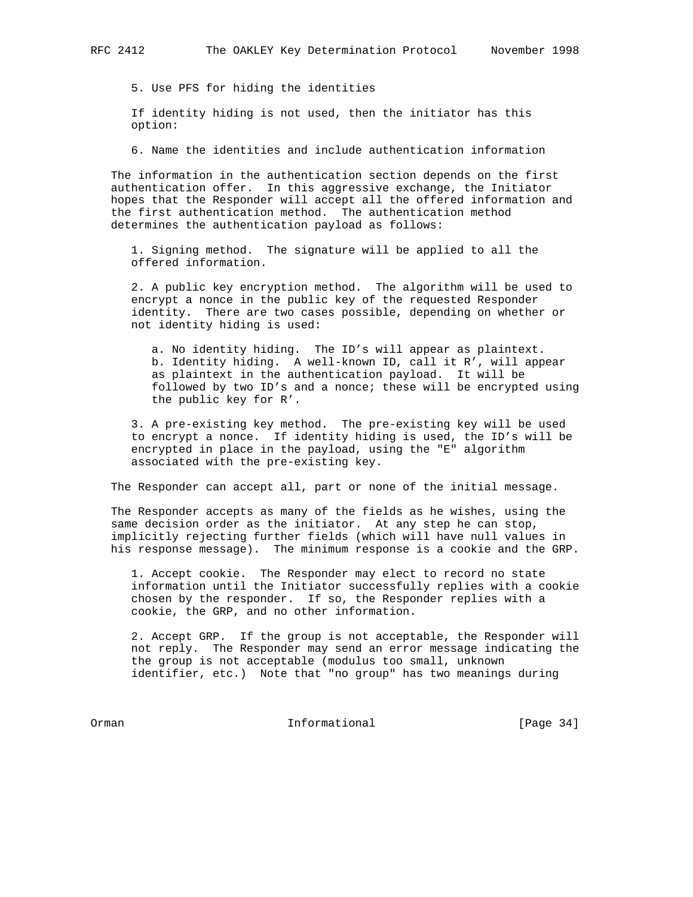5. Use PFS for hiding the identities

 If identity hiding is not used, then the initiator has this option:

6. Name the identities and include authentication information

 The information in the authentication section depends on the first authentication offer. In this aggressive exchange, the Initiator hopes that the Responder will accept all the offered information and the first authentication method. The authentication method determines the authentication payload as follows:

 1. Signing method. The signature will be applied to all the offered information.

 2. A public key encryption method. The algorithm will be used to encrypt a nonce in the public key of the requested Responder identity. There are two cases possible, depending on whether or not identity hiding is used:

 a. No identity hiding. The ID's will appear as plaintext. b. Identity hiding. A well-known ID, call it R', will appear as plaintext in the authentication payload. It will be followed by two ID's and a nonce; these will be encrypted using the public key for R'.

 3. A pre-existing key method. The pre-existing key will be used to encrypt a nonce. If identity hiding is used, the ID's will be encrypted in place in the payload, using the "E" algorithm associated with the pre-existing key.

The Responder can accept all, part or none of the initial message.

 The Responder accepts as many of the fields as he wishes, using the same decision order as the initiator. At any step he can stop, implicitly rejecting further fields (which will have null values in his response message). The minimum response is a cookie and the GRP.

 1. Accept cookie. The Responder may elect to record no state information until the Initiator successfully replies with a cookie chosen by the responder. If so, the Responder replies with a cookie, the GRP, and no other information.

 2. Accept GRP. If the group is not acceptable, the Responder will not reply. The Responder may send an error message indicating the the group is not acceptable (modulus too small, unknown identifier, etc.) Note that "no group" has two meanings during

Orman Informational [Page 34]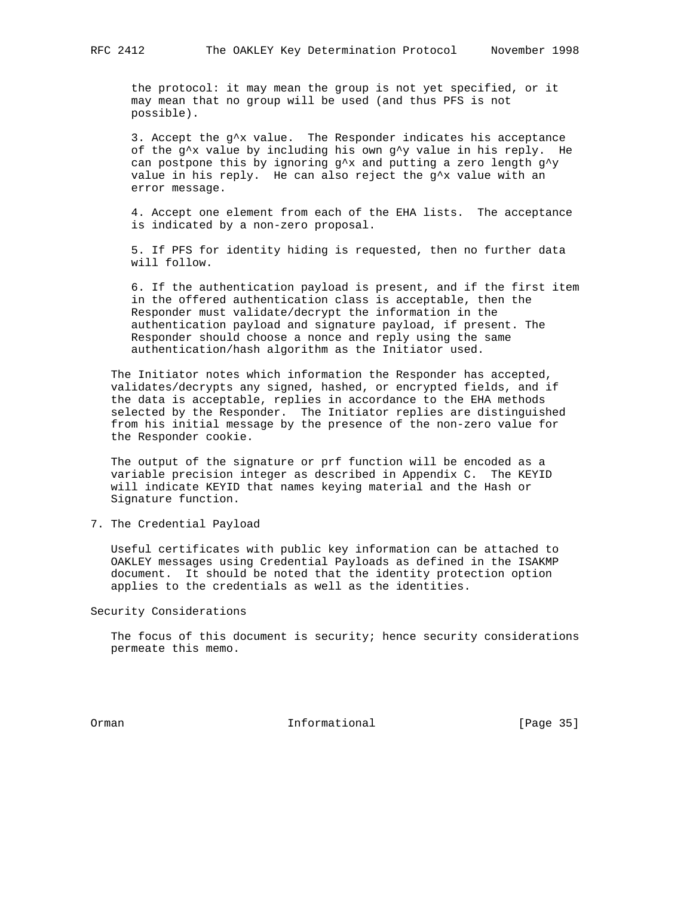the protocol: it may mean the group is not yet specified, or it may mean that no group will be used (and thus PFS is not possible).

3. Accept the  $g^x$ x value. The Responder indicates his acceptance of the g^x value by including his own g^y value in his reply. He can postpone this by ignoring  $g^{\lambda}x$  and putting a zero length  $g^{\lambda}y$ value in his reply. He can also reject the  $g^{\lambda}x$  value with an error message.

 4. Accept one element from each of the EHA lists. The acceptance is indicated by a non-zero proposal.

 5. If PFS for identity hiding is requested, then no further data will follow.

 6. If the authentication payload is present, and if the first item in the offered authentication class is acceptable, then the Responder must validate/decrypt the information in the authentication payload and signature payload, if present. The Responder should choose a nonce and reply using the same authentication/hash algorithm as the Initiator used.

 The Initiator notes which information the Responder has accepted, validates/decrypts any signed, hashed, or encrypted fields, and if the data is acceptable, replies in accordance to the EHA methods selected by the Responder. The Initiator replies are distinguished from his initial message by the presence of the non-zero value for the Responder cookie.

 The output of the signature or prf function will be encoded as a variable precision integer as described in Appendix C. The KEYID will indicate KEYID that names keying material and the Hash or Signature function.

7. The Credential Payload

 Useful certificates with public key information can be attached to OAKLEY messages using Credential Payloads as defined in the ISAKMP document. It should be noted that the identity protection option applies to the credentials as well as the identities.

Security Considerations

 The focus of this document is security; hence security considerations permeate this memo.

Orman **Informational Informational** [Page 35]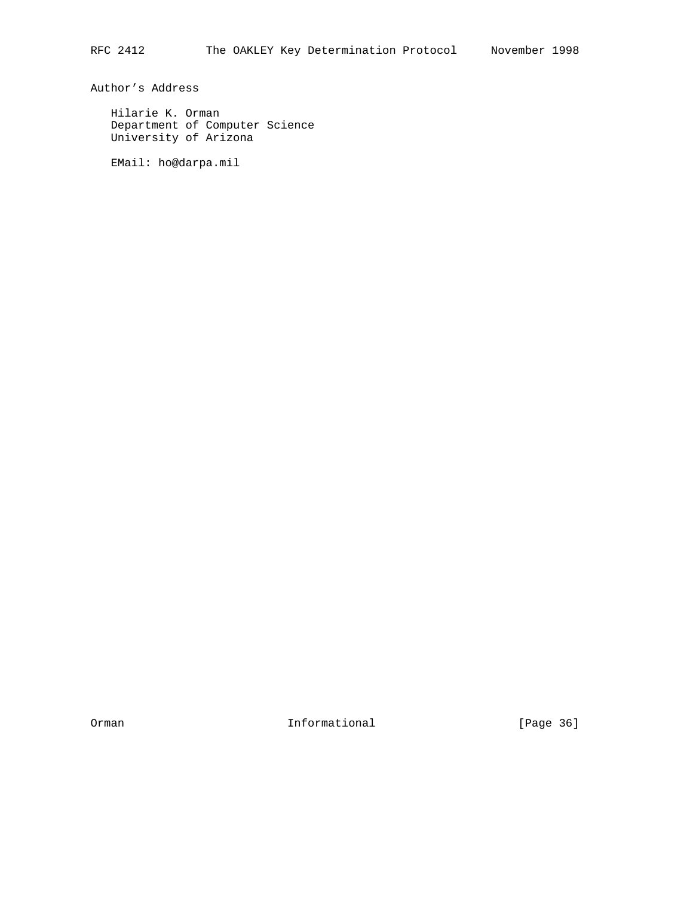Author's Address

 Hilarie K. Orman Department of Computer Science University of Arizona

EMail: ho@darpa.mil

Orman Informational [Page 36]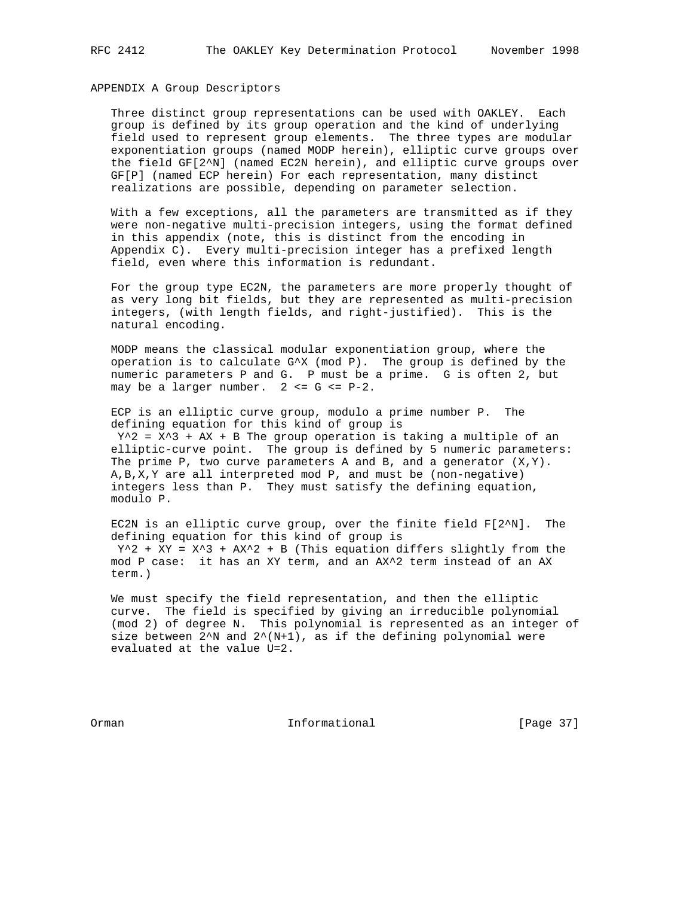### APPENDIX A Group Descriptors

 Three distinct group representations can be used with OAKLEY. Each group is defined by its group operation and the kind of underlying field used to represent group elements. The three types are modular exponentiation groups (named MODP herein), elliptic curve groups over the field GF[2^N] (named EC2N herein), and elliptic curve groups over GF[P] (named ECP herein) For each representation, many distinct realizations are possible, depending on parameter selection.

 With a few exceptions, all the parameters are transmitted as if they were non-negative multi-precision integers, using the format defined in this appendix (note, this is distinct from the encoding in Appendix C). Every multi-precision integer has a prefixed length field, even where this information is redundant.

 For the group type EC2N, the parameters are more properly thought of as very long bit fields, but they are represented as multi-precision integers, (with length fields, and right-justified). This is the natural encoding.

 MODP means the classical modular exponentiation group, where the operation is to calculate  $G^{\wedge}X$  (mod P). The group is defined by the numeric parameters P and G. P must be a prime. G is often 2, but may be a larger number.  $2 \leq G \leq P-2$ .

 ECP is an elliptic curve group, modulo a prime number P. The defining equation for this kind of group is  $Y^2 = X^3 + AX + B$  The group operation is taking a multiple of an elliptic-curve point. The group is defined by 5 numeric parameters: The prime P, two curve parameters A and B, and a generator  $(X,Y)$ . A,B,X,Y are all interpreted mod P, and must be (non-negative) integers less than P. They must satisfy the defining equation,

EC2N is an elliptic curve group, over the finite field  $F[2^N]$ . The defining equation for this kind of group is  $Y^2 + XY = X^3 + AX^2 + B$  (This equation differs slightly from the mod P case: it has an XY term, and an AX^2 term instead of an AX term.)

 We must specify the field representation, and then the elliptic curve. The field is specified by giving an irreducible polynomial (mod 2) of degree N. This polynomial is represented as an integer of size between  $2^N$  and  $2^N(N+1)$ , as if the defining polynomial were evaluated at the value U=2.

modulo P.

Orman **Informational Informational** [Page 37]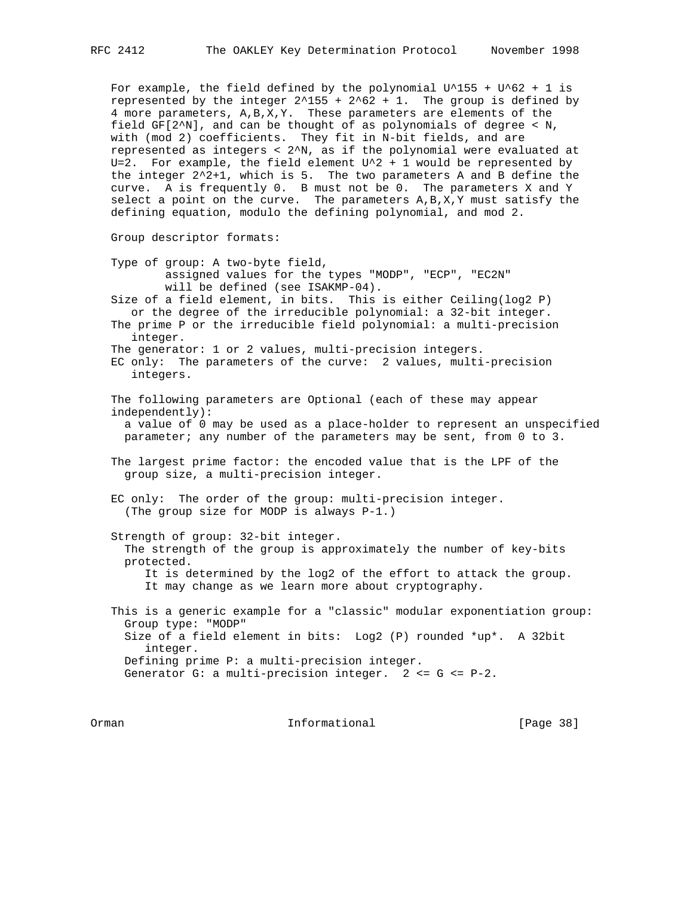For example, the field defined by the polynomial  $U^{\wedge}155 + U^{\wedge}62 + 1$  is represented by the integer  $2^155 + 2^62 + 1$ . The group is defined by 4 more parameters, A,B,X,Y. These parameters are elements of the field  $GF[2^N]$ , and can be thought of as polynomials of degree < N, with (mod 2) coefficients. They fit in N-bit fields, and are represented as integers < 2^N, as if the polynomial were evaluated at U=2. For example, the field element  $U^2$  + 1 would be represented by the integer  $2^2+1$ , which is 5. The two parameters A and B define the curve. A is frequently 0. B must not be 0. The parameters X and Y select a point on the curve. The parameters A,B,X,Y must satisfy the defining equation, modulo the defining polynomial, and mod 2.

Group descriptor formats:

 Type of group: A two-byte field, assigned values for the types "MODP", "ECP", "EC2N" will be defined (see ISAKMP-04). Size of a field element, in bits. This is either Ceiling(log2 P) or the degree of the irreducible polynomial: a 32-bit integer. The prime P or the irreducible field polynomial: a multi-precision integer. The generator: 1 or 2 values, multi-precision integers. EC only: The parameters of the curve: 2 values, multi-precision integers. The following parameters are Optional (each of these may appear independently): a value of 0 may be used as a place-holder to represent an unspecified parameter; any number of the parameters may be sent, from 0 to 3. The largest prime factor: the encoded value that is the LPF of the group size, a multi-precision integer. EC only: The order of the group: multi-precision integer. (The group size for MODP is always P-1.) Strength of group: 32-bit integer. The strength of the group is approximately the number of key-bits protected. It is determined by the log2 of the effort to attack the group. It may change as we learn more about cryptography. This is a generic example for a "classic" modular exponentiation group: Group type: "MODP" Size of a field element in bits: Log2 (P) rounded \*up\*. A 32bit integer. Defining prime P: a multi-precision integer. Generator G: a multi-precision integer. 2 <= G <= P-2.

Orman Informational [Page 38]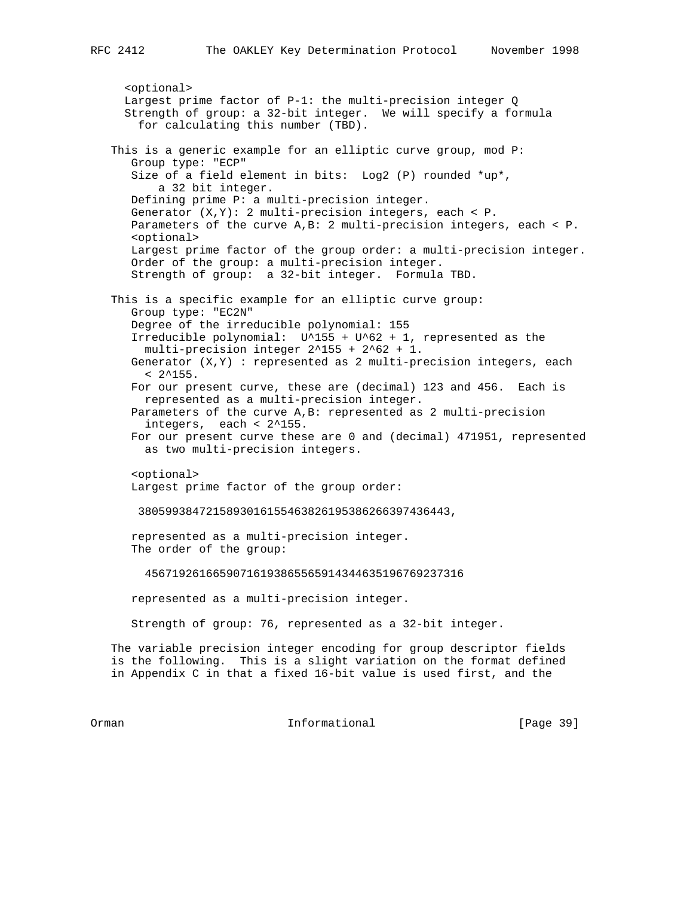```
 <optional>
   Largest prime factor of P-1: the multi-precision integer Q
   Strength of group: a 32-bit integer. We will specify a formula
     for calculating this number (TBD).
 This is a generic example for an elliptic curve group, mod P:
   Group type: "ECP"
   Size of a field element in bits: Log2 (P) rounded *up*,
        a 32 bit integer.
   Defining prime P: a multi-precision integer.
   Generator (X,Y): 2 multi-precision integers, each < P.
   Parameters of the curve A,B: 2 multi-precision integers, each < P.
    <optional>
   Largest prime factor of the group order: a multi-precision integer.
    Order of the group: a multi-precision integer.
    Strength of group: a 32-bit integer. Formula TBD.
 This is a specific example for an elliptic curve group:
   Group type: "EC2N"
   Degree of the irreducible polynomial: 155
   Irreducible polynomial: U^*155 + U^*62 + 1, represented as the
     multi-precision integer 2^155 + 2^62 + 1.
  Generator (X, Y) : represented as 2 multi-precision integers, each
     < 2^1155.
   For our present curve, these are (decimal) 123 and 456. Each is
     represented as a multi-precision integer.
    Parameters of the curve A,B: represented as 2 multi-precision
      integers, each < 2^155.
   For our present curve these are 0 and (decimal) 471951, represented
     as two multi-precision integers.
    <optional>
   Largest prime factor of the group order:
    3805993847215893016155463826195386266397436443,
   represented as a multi-precision integer.
   The order of the group:
      45671926166590716193865565914344635196769237316
   represented as a multi-precision integer.
    Strength of group: 76, represented as a 32-bit integer.
 The variable precision integer encoding for group descriptor fields
 is the following. This is a slight variation on the format defined
 in Appendix C in that a fixed 16-bit value is used first, and the
```
Orman Informational [Page 39]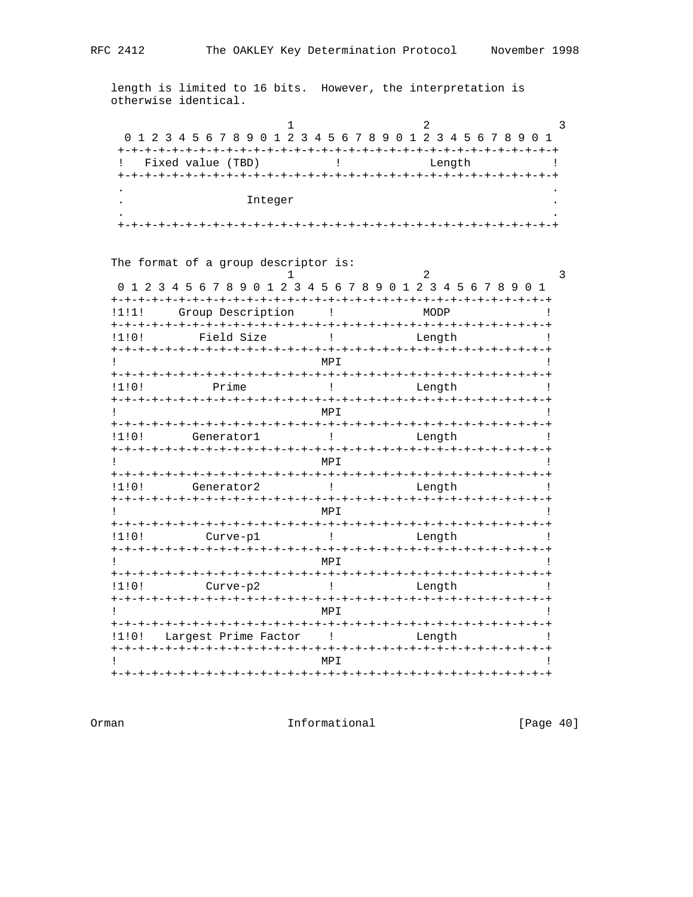length is limited to 16 bits. However, the interpretation is otherwise identical.

| 0 1 2 3 4 5 6 7 8 9 0 1 2 3 4 5 6 7 8 9 0 1 2 3 4 5 6 7 8 9 0 1 |  |        |  |
|-----------------------------------------------------------------|--|--------|--|
|                                                                 |  |        |  |
| Fixed value (TBD)                                               |  | Lenath |  |
|                                                                 |  |        |  |
|                                                                 |  |        |  |
| Integer                                                         |  |        |  |
|                                                                 |  |        |  |
|                                                                 |  |        |  |

The format of a group descriptor is:

| The format of a group descriptor is:<br>2<br>3 |                                                         |                                            |  |  |  |  |        |      |  |                |                        |  |
|------------------------------------------------|---------------------------------------------------------|--------------------------------------------|--|--|--|--|--------|------|--|----------------|------------------------|--|
| $\Omega$<br>1 2 3                              | 4 5 6 7 8 9 0 1 2 3 4 5 6 7 8 9 0 1 2 3 4 5 6 7 8 9 0 1 |                                            |  |  |  |  |        |      |  |                |                        |  |
| ! 1 ! 1 !                                      | Group Description                                       |                                            |  |  |  |  |        | MODP |  | -+-+-+-+-+-+-+ |                        |  |
| !1!0!                                          | Field Size                                              |                                            |  |  |  |  | Length |      |  |                |                        |  |
|                                                |                                                         | MPI                                        |  |  |  |  |        |      |  |                |                        |  |
| 11101                                          | Prime                                                   |                                            |  |  |  |  | Length |      |  |                |                        |  |
|                                                |                                                         | MPI                                        |  |  |  |  |        |      |  |                |                        |  |
| !1!0!                                          | Generatorl                                              |                                            |  |  |  |  | Length |      |  |                |                        |  |
|                                                |                                                         | MPI                                        |  |  |  |  |        |      |  |                |                        |  |
| 11101                                          | Generator2                                              |                                            |  |  |  |  | Length |      |  |                |                        |  |
|                                                |                                                         | MPI                                        |  |  |  |  |        |      |  |                |                        |  |
| !1!0!                                          | $Curve-p1$                                              |                                            |  |  |  |  | Length |      |  |                |                        |  |
|                                                |                                                         | MPI                                        |  |  |  |  |        |      |  |                |                        |  |
| 11101                                          | $Curve-p2$                                              |                                            |  |  |  |  | Length |      |  |                |                        |  |
|                                                |                                                         | MPI                                        |  |  |  |  |        |      |  |                |                        |  |
| 11!0!                                          | Largest Prime Factor                                    |                                            |  |  |  |  | Length |      |  |                |                        |  |
|                                                | -+-+-+-+-+-+-+-+-+-+-+-+-+-+-+-+-+-+-+-                 | MPI<br>-+-+-+-+-+-+-+-+-+-+-+-+-+-+-+-+-+- |  |  |  |  |        |      |  |                | -+-+-+-+-+-+-+-+-+-+-+ |  |

Orman

Informational

[Page 40]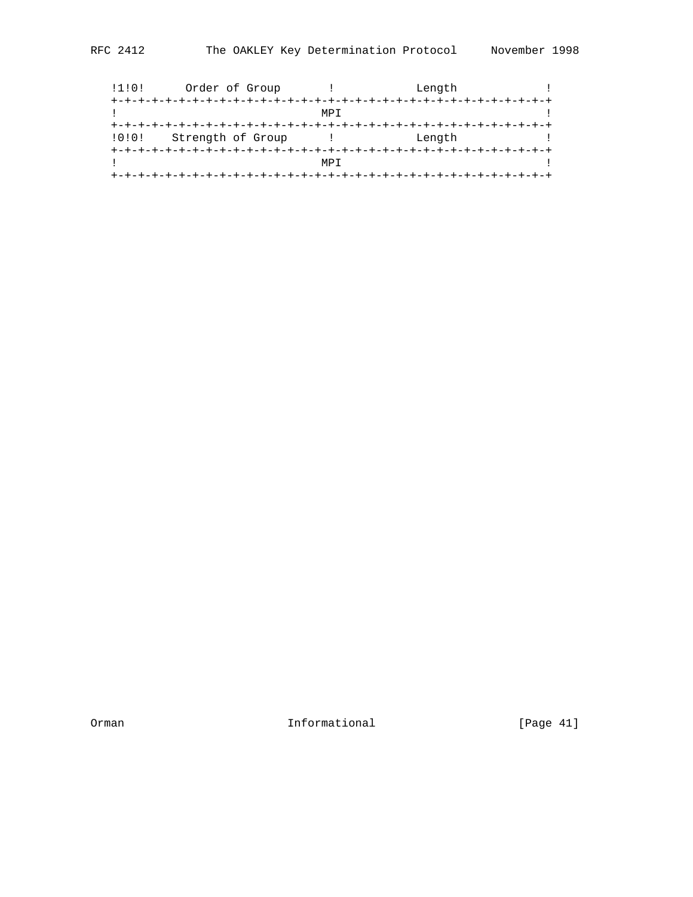| 11101 | Order of Group    |            | Length                 |  |
|-------|-------------------|------------|------------------------|--|
|       | -+-+-+-+-+-+      |            | -+-+-+-+-+-+-+-+-+-+-+ |  |
|       |                   | <b>MPT</b> |                        |  |
|       |                   |            |                        |  |
| 10101 | Strength of Group |            | Length                 |  |
|       | ----------------- |            |                        |  |
|       |                   | <b>MPT</b> |                        |  |

Orman Informational [Page 41]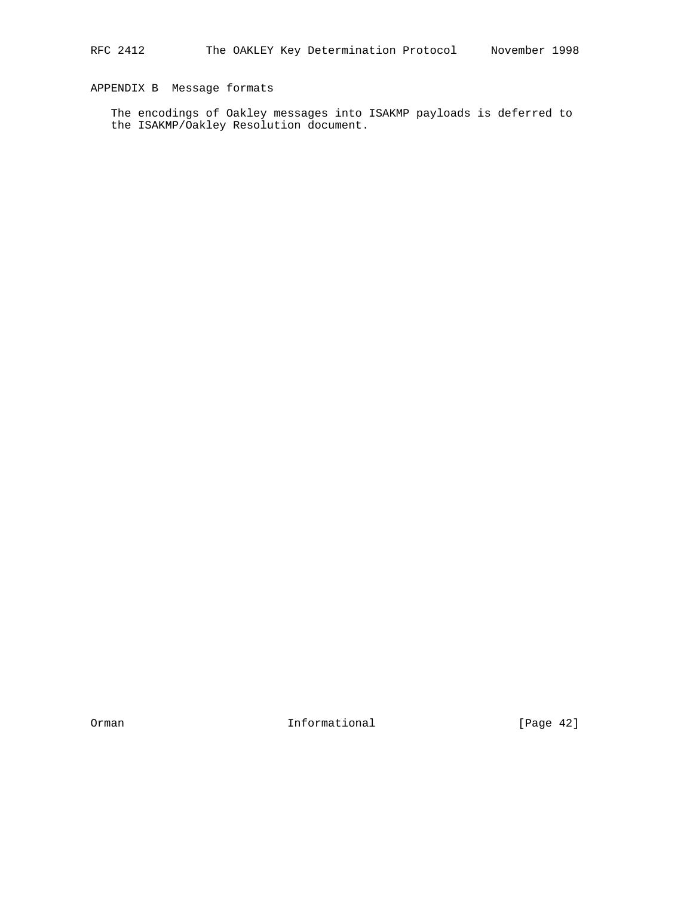# APPENDIX B Message formats

 The encodings of Oakley messages into ISAKMP payloads is deferred to the ISAKMP/Oakley Resolution document.

Orman Informational [Page 42]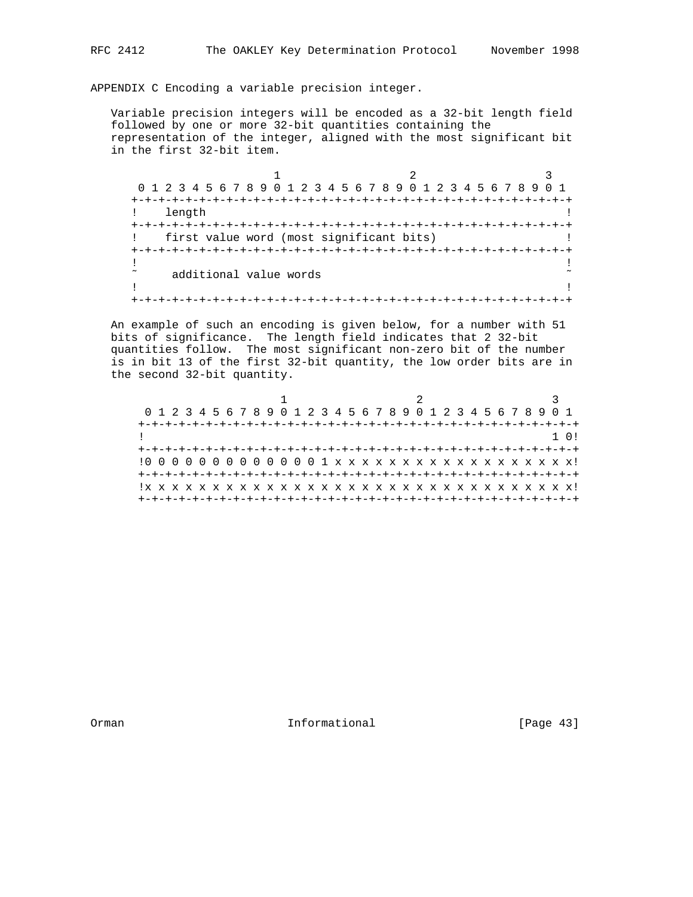APPENDIX C Encoding a variable precision integer.

 Variable precision integers will be encoded as a 32-bit length field followed by one or more 32-bit quantities containing the representation of the integer, aligned with the most significant bit in the first 32-bit item.

1 2 3 0 1 2 3 4 5 6 7 8 9 0 1 2 3 4 5 6 7 8 9 0 1 2 3 4 5 6 7 8 9 0 1 +-+-+-+-+-+-+-+-+-+-+-+-+-+-+-+-+-+-+-+-+-+-+-+-+-+-+-+-+-+-+-+-+ ! length ! +-+-+-+-+-+-+-+-+-+-+-+-+-+-+-+-+-+-+-+-+-+-+-+-+-+-+-+-+-+-+-+-+ ! first value word (most significant bits) ! +-+-+-+-+-+-+-+-+-+-+-+-+-+-+-+-+-+-+-+-+-+-+-+-+-+-+-+-+-+-+-+-+ . The contract of the contract of the contract of the contract of the contract of the contract of the contract ˜ additional value words ˜ . The contract of the contract of the contract of the contract of the contract of the contract of the contract +-+-+-+-+-+-+-+-+-+-+-+-+-+-+-+-+-+-+-+-+-+-+-+-+-+-+-+-+-+-+-+-+

 An example of such an encoding is given below, for a number with 51 bits of significance. The length field indicates that 2 32-bit quantities follow. The most significant non-zero bit of the number is in bit 13 of the first 32-bit quantity, the low order bits are in the second 32-bit quantity.

|  | 0 1 2 3 4 5 6 7 8 9 0 1 2 3 4 5 6 7 8 9 0 1 2 3 4 5 6 7 8 9 0 1 |  |
|--|-----------------------------------------------------------------|--|
|  |                                                                 |  |
|  |                                                                 |  |
|  |                                                                 |  |
|  |                                                                 |  |
|  |                                                                 |  |
|  |                                                                 |  |
|  | -+-+-+-+-+-+-+-+-+-+-+-+-+-+-+                                  |  |

Orman **Informational Informational** [Page 43]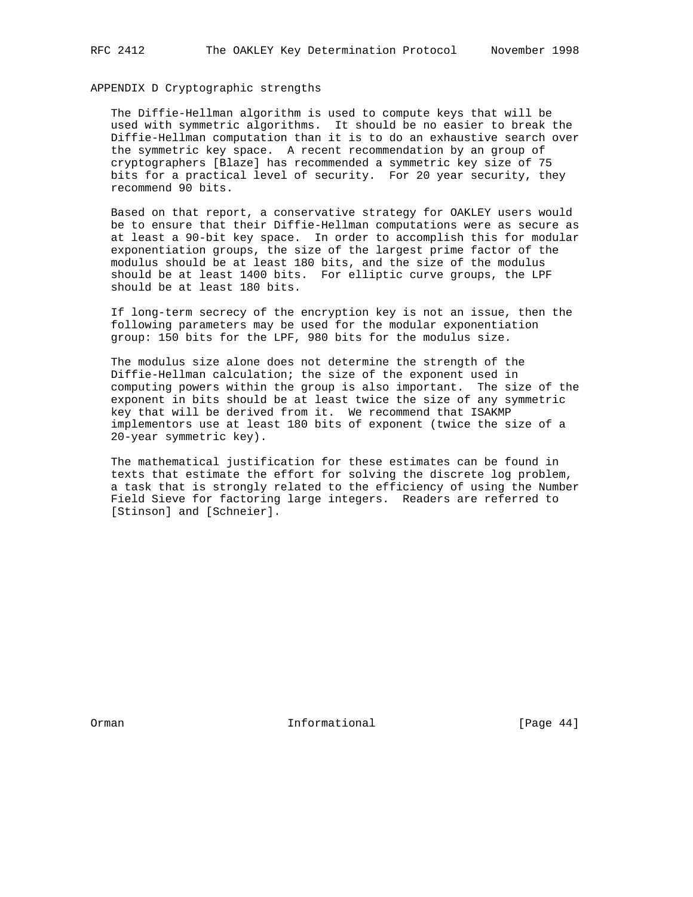### APPENDIX D Cryptographic strengths

 The Diffie-Hellman algorithm is used to compute keys that will be used with symmetric algorithms. It should be no easier to break the Diffie-Hellman computation than it is to do an exhaustive search over the symmetric key space. A recent recommendation by an group of cryptographers [Blaze] has recommended a symmetric key size of 75 bits for a practical level of security. For 20 year security, they recommend 90 bits.

 Based on that report, a conservative strategy for OAKLEY users would be to ensure that their Diffie-Hellman computations were as secure as at least a 90-bit key space. In order to accomplish this for modular exponentiation groups, the size of the largest prime factor of the modulus should be at least 180 bits, and the size of the modulus should be at least 1400 bits. For elliptic curve groups, the LPF should be at least 180 bits.

 If long-term secrecy of the encryption key is not an issue, then the following parameters may be used for the modular exponentiation group: 150 bits for the LPF, 980 bits for the modulus size.

 The modulus size alone does not determine the strength of the Diffie-Hellman calculation; the size of the exponent used in computing powers within the group is also important. The size of the exponent in bits should be at least twice the size of any symmetric key that will be derived from it. We recommend that ISAKMP implementors use at least 180 bits of exponent (twice the size of a 20-year symmetric key).

 The mathematical justification for these estimates can be found in texts that estimate the effort for solving the discrete log problem, a task that is strongly related to the efficiency of using the Number Field Sieve for factoring large integers. Readers are referred to [Stinson] and [Schneier].

Orman Informational [Page 44]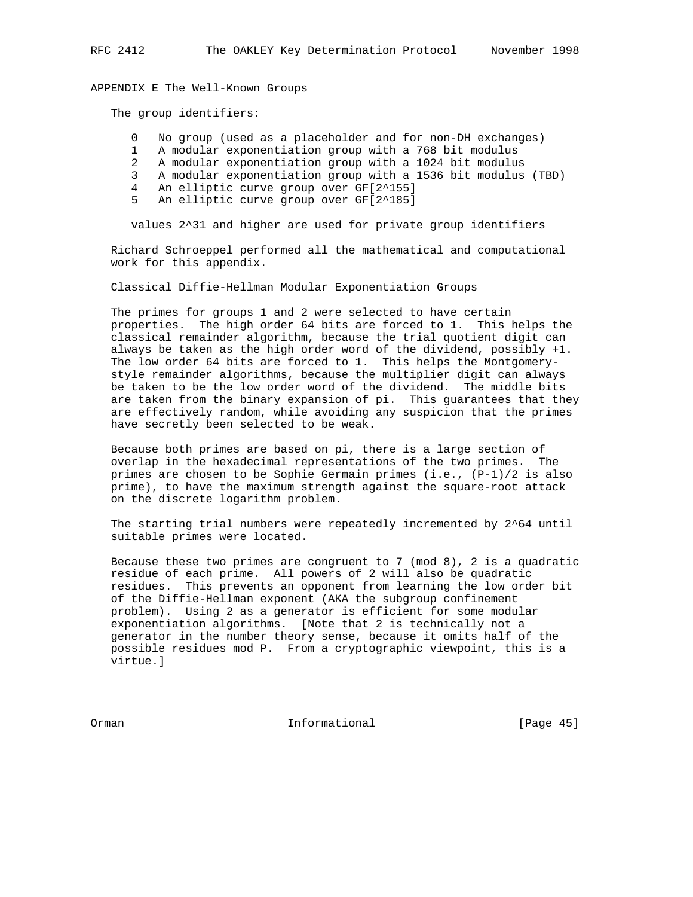APPENDIX E The Well-Known Groups

The group identifiers:

- 0 No group (used as a placeholder and for non-DH exchanges)
- 1 A modular exponentiation group with a 768 bit modulus
- 2 A modular exponentiation group with a 1024 bit modulus
- 3 A modular exponentiation group with a 1536 bit modulus (TBD)
- 4 An elliptic curve group over GF[2^155]
- 5 An elliptic curve group over GF[2^185]

values 2^31 and higher are used for private group identifiers

 Richard Schroeppel performed all the mathematical and computational work for this appendix.

Classical Diffie-Hellman Modular Exponentiation Groups

 The primes for groups 1 and 2 were selected to have certain properties. The high order 64 bits are forced to 1. This helps the classical remainder algorithm, because the trial quotient digit can always be taken as the high order word of the dividend, possibly +1. The low order 64 bits are forced to 1. This helps the Montgomery style remainder algorithms, because the multiplier digit can always be taken to be the low order word of the dividend. The middle bits are taken from the binary expansion of pi. This guarantees that they are effectively random, while avoiding any suspicion that the primes have secretly been selected to be weak.

 Because both primes are based on pi, there is a large section of overlap in the hexadecimal representations of the two primes. The primes are chosen to be Sophie Germain primes (i.e., (P-1)/2 is also prime), to have the maximum strength against the square-root attack on the discrete logarithm problem.

 The starting trial numbers were repeatedly incremented by 2^64 until suitable primes were located.

 Because these two primes are congruent to 7 (mod 8), 2 is a quadratic residue of each prime. All powers of 2 will also be quadratic residues. This prevents an opponent from learning the low order bit of the Diffie-Hellman exponent (AKA the subgroup confinement problem). Using 2 as a generator is efficient for some modular exponentiation algorithms. [Note that 2 is technically not a generator in the number theory sense, because it omits half of the possible residues mod P. From a cryptographic viewpoint, this is a virtue.]

Orman **Informational Informational** [Page 45]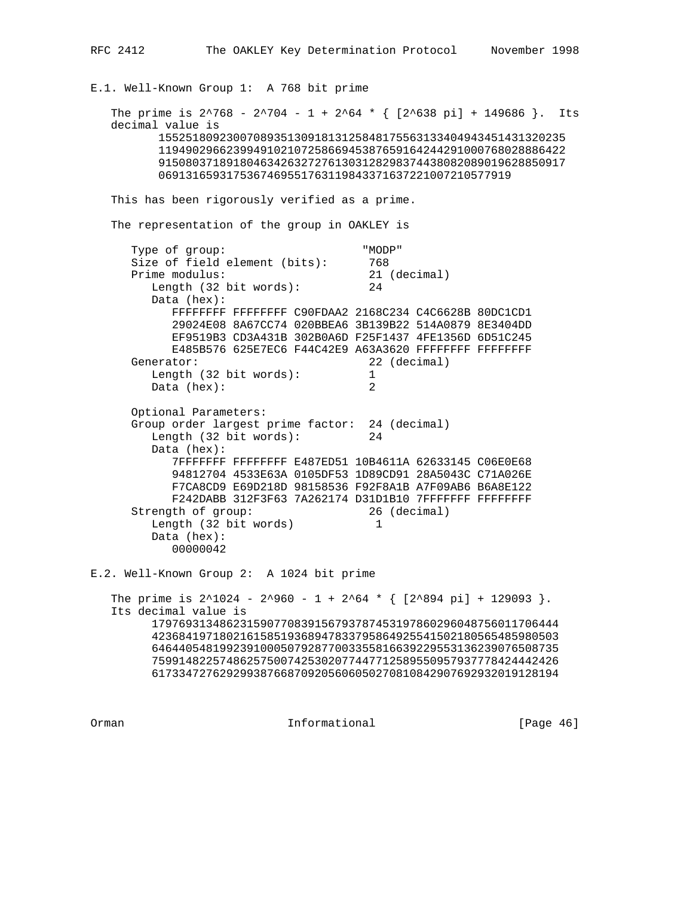E.1. Well-Known Group 1: A 768 bit prime The prime is  $2^{\times}768$  -  $2^{\times}704$  - 1 +  $2^{\times}64$  \* {  $[2^{\times}638$  pi] + 149686 }. Its decimal value is 155251809230070893513091813125848175563133404943451431320235 119490296623994910210725866945387659164244291000768028886422 915080371891804634263272761303128298374438082089019628850917 0691316593175367469551763119843371637221007210577919 This has been rigorously verified as a prime. The representation of the group in OAKLEY is Type of group: "MODP" Size of field element (bits): 768 Prime modulus: 21 (decimal) Length (32 bit words): 24 Data (hex): FFFFFFFF FFFFFFFF C90FDAA2 2168C234 C4C6628B 80DC1CD1 29024E08 8A67CC74 020BBEA6 3B139B22 514A0879 8E3404DD EF9519B3 CD3A431B 302B0A6D F25F1437 4FE1356D 6D51C245 E485B576 625E7EC6 F44C42E9 A63A3620 FFFFFFFF FFFFFFFF Generator: 22 (decimal) Length (32 bit words): 1 Data (hex): 2 Optional Parameters: Group order largest prime factor: 24 (decimal) Length (32 bit words): 24 Data (hex): 7FFFFFFF FFFFFFFF E487ED51 10B4611A 62633145 C06E0E68 94812704 4533E63A 0105DF53 1D89CD91 28A5043C C71A026E F7CA8CD9 E69D218D 98158536 F92F8A1B A7F09AB6 B6A8E122 F242DABB 312F3F63 7A262174 D31D1B10 7FFFFFFF FFFFFFFFF Strength of group: 26 (decimal)<br>Jength (32 bit words) Length (32 bit words) 1 Data (hex): 00000042 E.2. Well-Known Group 2: A 1024 bit prime The prime is  $2^1024 - 2^960 - 1 + 2^64 * { [2^894 \text{ pi} ]} + 129093 }.$  Its decimal value is 179769313486231590770839156793787453197860296048756011706444 423684197180216158519368947833795864925541502180565485980503 646440548199239100050792877003355816639229553136239076508735 759914822574862575007425302077447712589550957937778424442426 617334727629299387668709205606050270810842907692932019128194

Orman **Informational Informational Informational** [Page 46]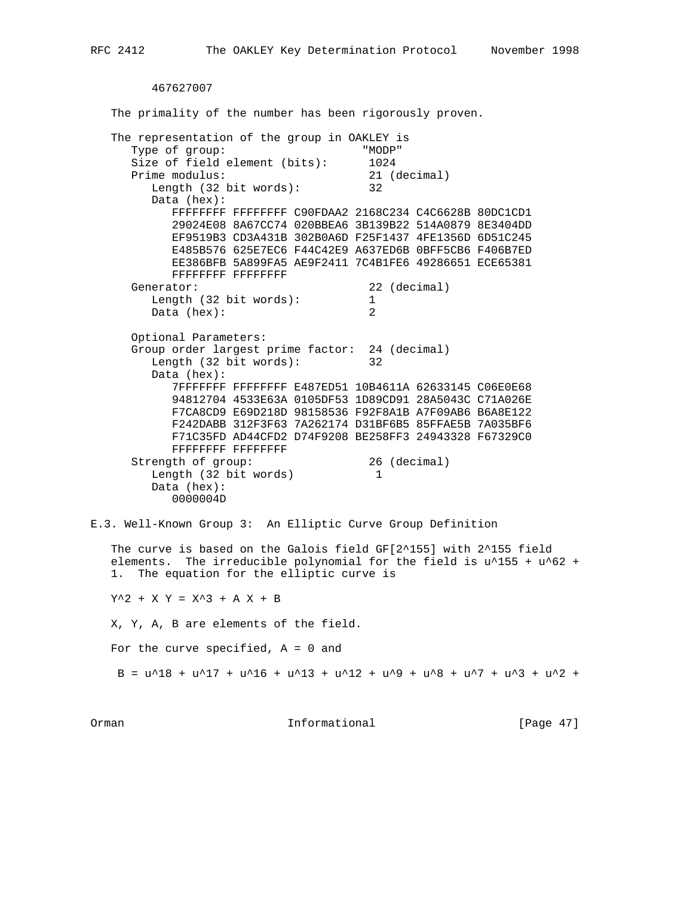467627007 The primality of the number has been rigorously proven. The representation of the group in OAKLEY is Type of group: "MODP"<br>Size of field element (bits): 1024 Size of field element (bits): Prime modulus: 21 (decimal) Length (32 bit words): 32 Data (hex): FFFFFFFF FFFFFFFF C90FDAA2 2168C234 C4C6628B 80DC1CD1 29024E08 8A67CC74 020BBEA6 3B139B22 514A0879 8E3404DD EF9519B3 CD3A431B 302B0A6D F25F1437 4FE1356D 6D51C245 E485B576 625E7EC6 F44C42E9 A637ED6B 0BFF5CB6 F406B7ED EE386BFB 5A899FA5 AE9F2411 7C4B1FE6 49286651 ECE65381 FFFFFFFF FFFFFFFF Generator: 22 (decimal) Length (32 bit words): 1 Data (hex): 2 Optional Parameters: Group order largest prime factor: 24 (decimal) Length (32 bit words): 32 Data (hex): 7FFFFFFF FFFFFFFF E487ED51 10B4611A 62633145 C06E0E68 94812704 4533E63A 0105DF53 1D89CD91 28A5043C C71A026E F7CA8CD9 E69D218D 98158536 F92F8A1B A7F09AB6 B6A8E122 F242DABB 312F3F63 7A262174 D31BF6B5 85FFAE5B 7A035BF6 F71C35FD AD44CFD2 D74F9208 BE258FF3 24943328 F67329C0 FFFFFFFF FFFFFFFF Strength of group: 26 (decimal) Length (32 bit words) 1 Data (hex): 0000004D E.3. Well-Known Group 3: An Elliptic Curve Group Definition The curve is based on the Galois field GF[2^155] with 2^155 field elements. The irreducible polynomial for the field is  $u^155 + u^62 +$  1. The equation for the elliptic curve is  $Y^2 + X Y = X^3 + A X + B$  X, Y, A, B are elements of the field. For the curve specified,  $A = 0$  and  $B = u^18 + u^17 + u^16 + u^13 + u^12 + u^9 + u^8 + u^7 + u^3 + u^2 +$ 

Orman **Informational Informational** [Page 47]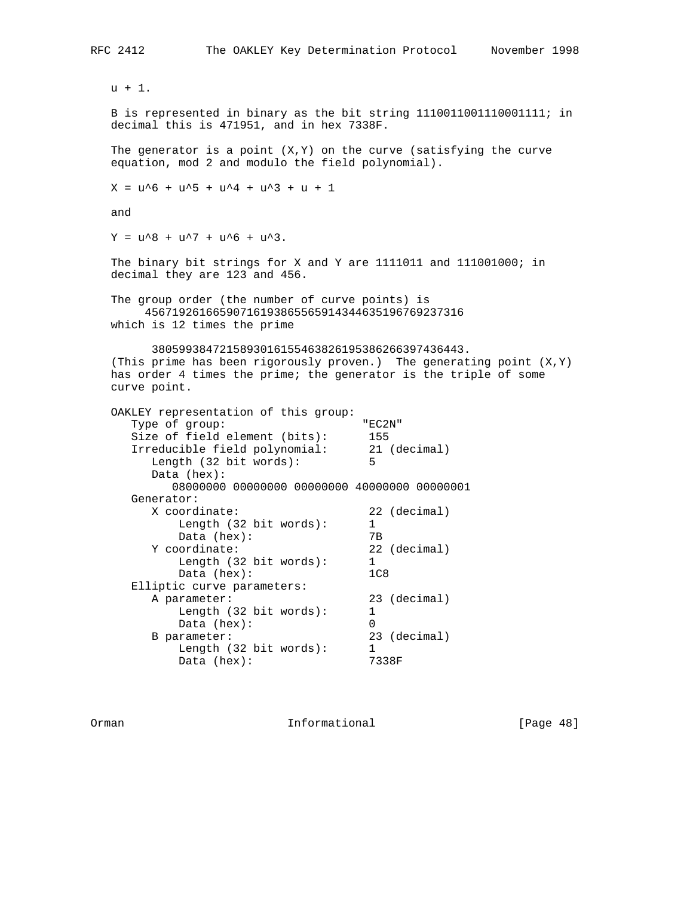```
 u + 1.
 B is represented in binary as the bit string 1110011001110001111; in
 decimal this is 471951, and in hex 7338F.
The generator is a point (X,Y) on the curve (satisfying the curve
 equation, mod 2 and modulo the field polynomial).
X = u^{6} + u^{5} + u^{4} + u^{3} + u^{3} + u + 1 and
Y = u^8 + u^7 + u^6 + u^3.
 The binary bit strings for X and Y are 1111011 and 111001000; in
 decimal they are 123 and 456.
 The group order (the number of curve points) is
      45671926166590716193865565914344635196769237316
 which is 12 times the prime
      3805993847215893016155463826195386266397436443.
(This prime has been rigorously proven.) The generating point (X,Y) has order 4 times the prime; the generator is the triple of some
 curve point.
 OAKLEY representation of this group:
  Type of group: "EC2N"<br>Size of field element (bits): 155
  Size of field element (bits): 155<br>Irreducible field polynomial: 21 (decimal)
  Irreducible field polynomial:
     Length (32 bit words): 5
      Data (hex):
         08000000 00000000 00000000 40000000 00000001
    Generator:
      X coordinate: 22 (decimal)
         Length (32 bit words): 1
         Data (hex): 7B
      Y coordinate: 22 (decimal)
         Length (32 bit words): 1
         Data (hex): 1C8
    Elliptic curve parameters:
     A parameter: 23 (decimal)
         Length (32 bit words): 1
         Data (hex): 0
     B parameter: 23 (decimal)
         Length (32 bit words): 1
         Data (hex): 7338F
```
Orman **Informational Informational Informational [Page 48]**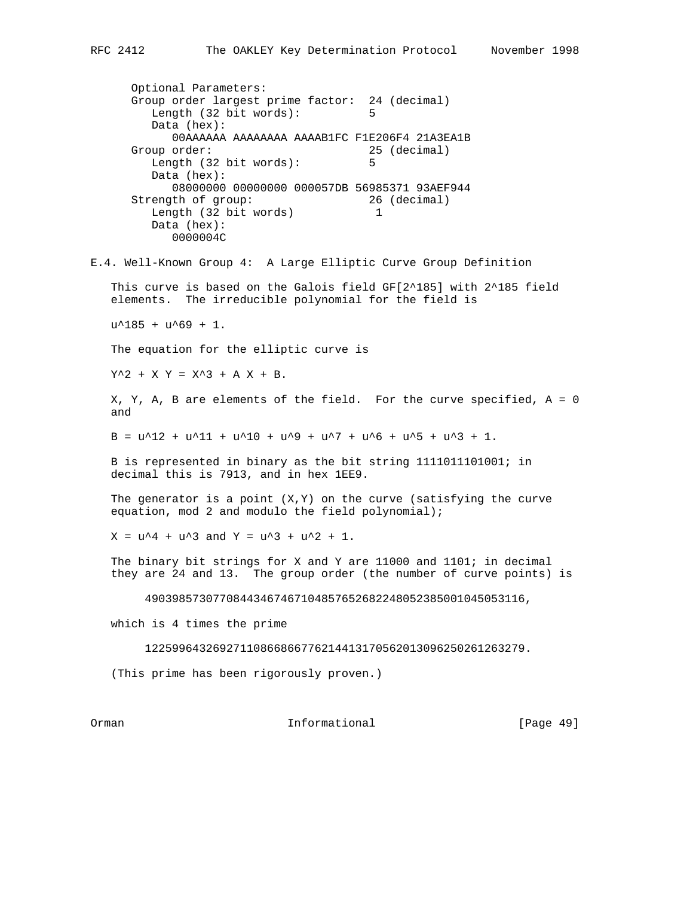Optional Parameters: Group order largest prime factor: 24 (decimal) Length (32 bit words): 5 Data (hex): 00AAAAAA AAAAAAAA AAAAB1FC F1E206F4 21A3EA1B Group order: 25 (decimal) Length (32 bit words): 5 Data (hex): 08000000 00000000 000057DB 56985371 93AEF944 Strength of group: 26 (decimal)<br>
Length (32 bit words) 1 Length (32 bit words) 1 Data (hex): 0000004C E.4. Well-Known Group 4: A Large Elliptic Curve Group Definition This curve is based on the Galois field GF[2^185] with 2^185 field elements. The irreducible polynomial for the field is  $u^*185 + u^*69 + 1.$  The equation for the elliptic curve is  $Y^2 + X Y = X^3 + A X + B.$  X, Y, A, B are elements of the field. For the curve specified, A = 0 and B =  $u^12 + u^11 + u^10 + u^9 + u^7 + u^6 + u^5 + u^3 + 1$ . B is represented in binary as the bit string 1111011101001; in decimal this is 7913, and in hex 1EE9. The generator is a point  $(X,Y)$  on the curve (satisfying the curve equation, mod 2 and modulo the field polynomial);  $X = u^4 + u^3$  and  $Y = u^3 + u^2 + 1$ . The binary bit strings for X and Y are 11000 and 1101; in decimal they are 24 and 13. The group order (the number of curve points) is 49039857307708443467467104857652682248052385001045053116, which is 4 times the prime 12259964326927110866866776214413170562013096250261263279. (This prime has been rigorously proven.) Orman Informational [Page 49]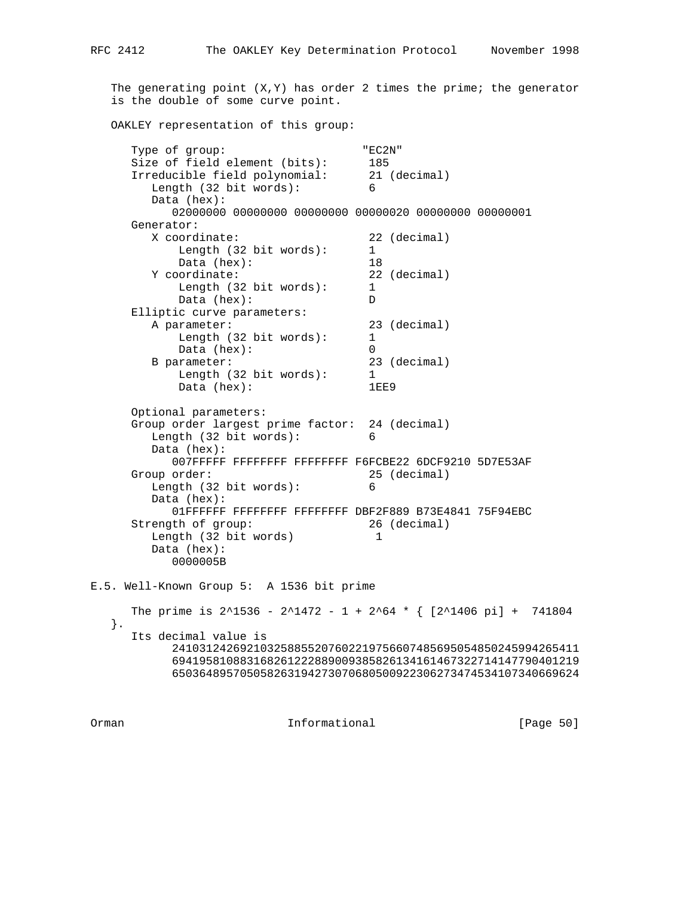The generating point  $(X,Y)$  has order 2 times the prime; the generator is the double of some curve point.

OAKLEY representation of this group:

Type of group: "EC2N"<br>Size of field element (bits): 185 Size of field element (bits): Irreducible field polynomial: 21 (decimal) Length (32 bit words): 6 Data (hex): 02000000 00000000 00000000 00000020 00000000 00000001 Generator: X coordinate: 22 (decimal) Length (32 bit words): 1 Data (hex): 18 Y coordinate: 22 (decimal) Length (32 bit words): 1 Data (hex): D Elliptic curve parameters: A parameter: 23 (decimal) Length (32 bit words): 1 Data (hex): 0 B parameter: 23 (decimal)<br>Length (32 bit words): 1 Length (32 bit words): Data (hex): 1EE9 Optional parameters: Group order largest prime factor: 24 (decimal) Length (32 bit words): 6 Data (hex): 007FFFFF FFFFFFFF FFFFFFFF F6FCBE22 6DCF9210 5D7E53AF Group order: 25 (decimal) Length (32 bit words): 6 Data (hex): 01FFFFFF FFFFFFFF FFFFFFFFF DBF2F889 B73E4841 75F94EBC<br>26 (decimal) 26 (decimal) 26 (decimal) Length (32 bit words) 1 Data (hex): 0000005B E.5. Well-Known Group 5: A 1536 bit prime The prime is  $2^{\wedge}1536 - 2^{\wedge}1472 - 1 + 2^{\wedge}64 \times \{ [2^{\wedge}1406 \text{ pi}] + 741804 \}$  }. Its decimal value is 241031242692103258855207602219756607485695054850245994265411 694195810883168261222889009385826134161467322714147790401219 650364895705058263194273070680500922306273474534107340669624

Orman **Informational Informational** [Page 50]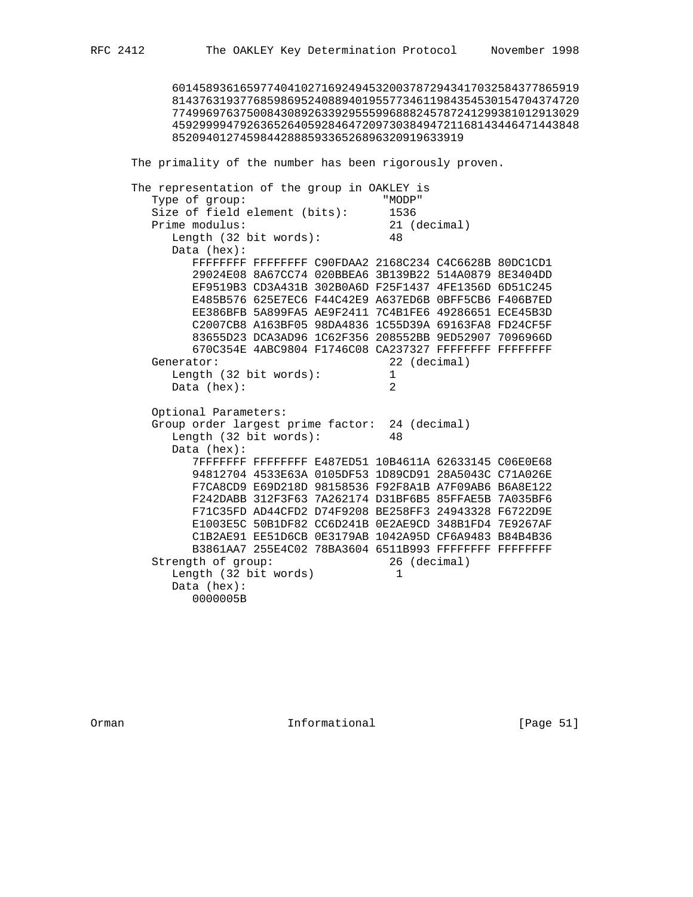601458936165977404102716924945320037872943417032584377865919 814376319377685986952408894019557734611984354530154704374720 774996976375008430892633929555996888245787241299381012913029 459299994792636526405928464720973038494721168143446471443848 8520940127459844288859336526896320919633919 The primality of the number has been rigorously proven. The representation of the group in OAKLEY is Type of group: "MODP" Size of field element (bits): 1536 Prime modulus: 21 (decimal) Length (32 bit words): 48 Data (hex): FFFFFFFF FFFFFFFF C90FDAA2 2168C234 C4C6628B 80DC1CD1 29024E08 8A67CC74 020BBEA6 3B139B22 514A0879 8E3404DD EF9519B3 CD3A431B 302B0A6D F25F1437 4FE1356D 6D51C245 E485B576 625E7EC6 F44C42E9 A637ED6B 0BFF5CB6 F406B7ED EE386BFB 5A899FA5 AE9F2411 7C4B1FE6 49286651 ECE45B3D C2007CB8 A163BF05 98DA4836 1C55D39A 69163FA8 FD24CF5F 83655D23 DCA3AD96 1C62F356 208552BB 9ED52907 7096966D 670C354E 4ABC9804 F1746C08 CA237327 FFFFFFFF FFFFFFFF Generator: 22 (decimal) Length (32 bit words): 1 Data (hex): 2 Optional Parameters: Group order largest prime factor: 24 (decimal) Length (32 bit words): 48 Data (hex): 7FFFFFFF FFFFFFFF E487ED51 10B4611A 62633145 C06E0E68 94812704 4533E63A 0105DF53 1D89CD91 28A5043C C71A026E F7CA8CD9 E69D218D 98158536 F92F8A1B A7F09AB6 B6A8E122 F242DABB 312F3F63 7A262174 D31BF6B5 85FFAE5B 7A035BF6 F71C35FD AD44CFD2 D74F9208 BE258FF3 24943328 F6722D9E E1003E5C 50B1DF82 CC6D241B 0E2AE9CD 348B1FD4 7E9267AF C1B2AE91 EE51D6CB 0E3179AB 1042A95D CF6A9483 B84B4B36 B3861AA7 255E4C02 78BA3604 6511B993 FFFFFFFF FFFFFFFF Strength of group: 26 (decimal) Length (32 bit words) 1 Data (hex): 0000005B

Orman **Informational Informational** [Page 51]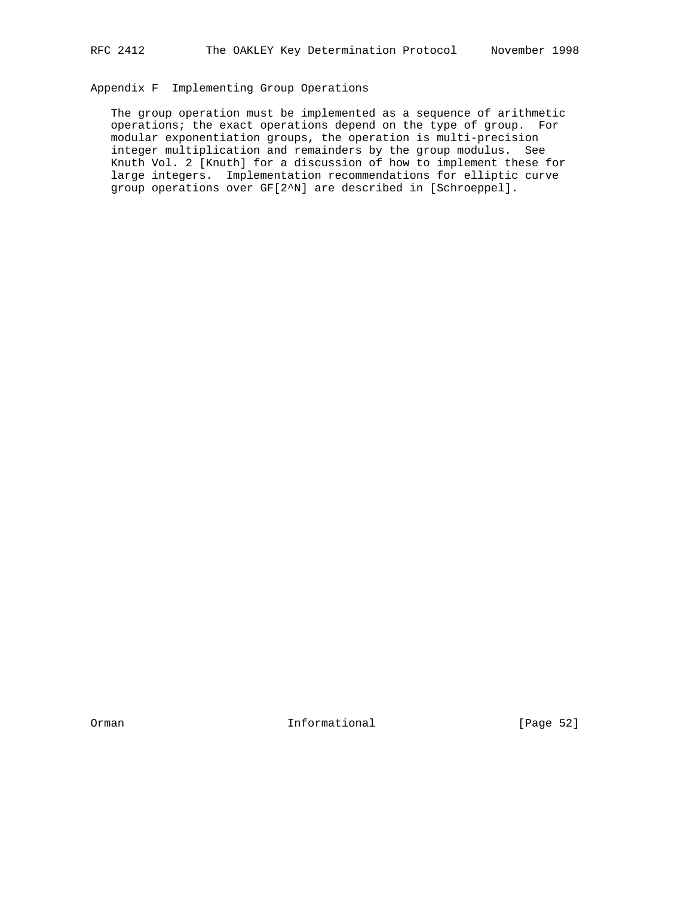# Appendix F Implementing Group Operations

 The group operation must be implemented as a sequence of arithmetic operations; the exact operations depend on the type of group. For modular exponentiation groups, the operation is multi-precision integer multiplication and remainders by the group modulus. See Knuth Vol. 2 [Knuth] for a discussion of how to implement these for large integers. Implementation recommendations for elliptic curve group operations over GF[2^N] are described in [Schroeppel].

Orman Informational [Page 52]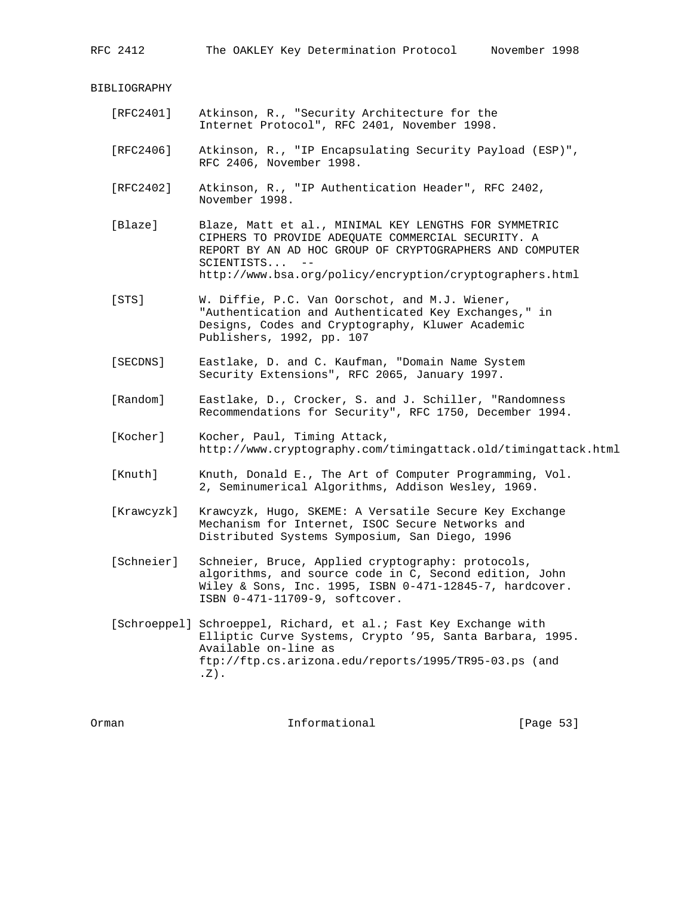RFC 2412 The OAKLEY Key Determination Protocol November 1998

BIBLIOGRAPHY

- [RFC2401] Atkinson, R., "Security Architecture for the Internet Protocol", RFC 2401, November 1998.
- [RFC2406] Atkinson, R., "IP Encapsulating Security Payload (ESP)", RFC 2406, November 1998.
- [RFC2402] Atkinson, R., "IP Authentication Header", RFC 2402, November 1998.
- [Blaze] Blaze, Matt et al., MINIMAL KEY LENGTHS FOR SYMMETRIC CIPHERS TO PROVIDE ADEQUATE COMMERCIAL SECURITY. A REPORT BY AN AD HOC GROUP OF CRYPTOGRAPHERS AND COMPUTER SCIENTISTS... http://www.bsa.org/policy/encryption/cryptographers.html
- [STS] W. Diffie, P.C. Van Oorschot, and M.J. Wiener, "Authentication and Authenticated Key Exchanges," in Designs, Codes and Cryptography, Kluwer Academic Publishers, 1992, pp. 107
- [SECDNS] Eastlake, D. and C. Kaufman, "Domain Name System Security Extensions", RFC 2065, January 1997.
- [Random] Eastlake, D., Crocker, S. and J. Schiller, "Randomness Recommendations for Security", RFC 1750, December 1994.
- [Kocher] Kocher, Paul, Timing Attack, http://www.cryptography.com/timingattack.old/timingattack.html
- [Knuth] Knuth, Donald E., The Art of Computer Programming, Vol. 2, Seminumerical Algorithms, Addison Wesley, 1969.
- [Krawcyzk] Krawcyzk, Hugo, SKEME: A Versatile Secure Key Exchange Mechanism for Internet, ISOC Secure Networks and Distributed Systems Symposium, San Diego, 1996
- [Schneier] Schneier, Bruce, Applied cryptography: protocols, algorithms, and source code in C, Second edition, John Wiley & Sons, Inc. 1995, ISBN 0-471-12845-7, hardcover. ISBN 0-471-11709-9, softcover.
- [Schroeppel] Schroeppel, Richard, et al.; Fast Key Exchange with Elliptic Curve Systems, Crypto '95, Santa Barbara, 1995. Available on-line as ftp://ftp.cs.arizona.edu/reports/1995/TR95-03.ps (and  $.Z)$ .

Orman Informational [Page 53]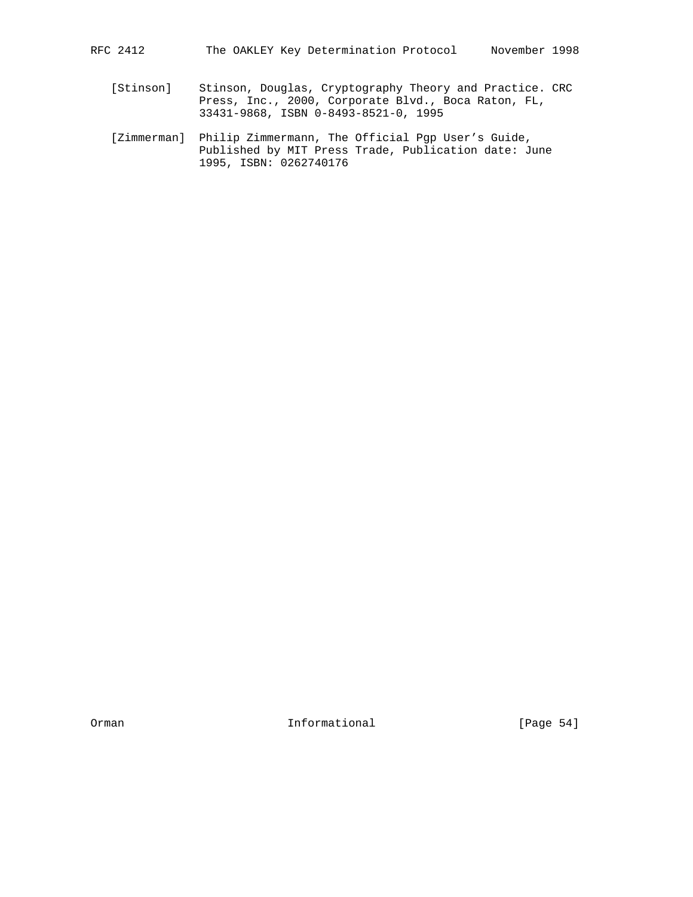- [Stinson] Stinson, Douglas, Cryptography Theory and Practice. CRC Press, Inc., 2000, Corporate Blvd., Boca Raton, FL, 33431-9868, ISBN 0-8493-8521-0, 1995
	- [Zimmerman] Philip Zimmermann, The Official Pgp User's Guide, Published by MIT Press Trade, Publication date: June 1995, ISBN: 0262740176

Orman Informational [Page 54]